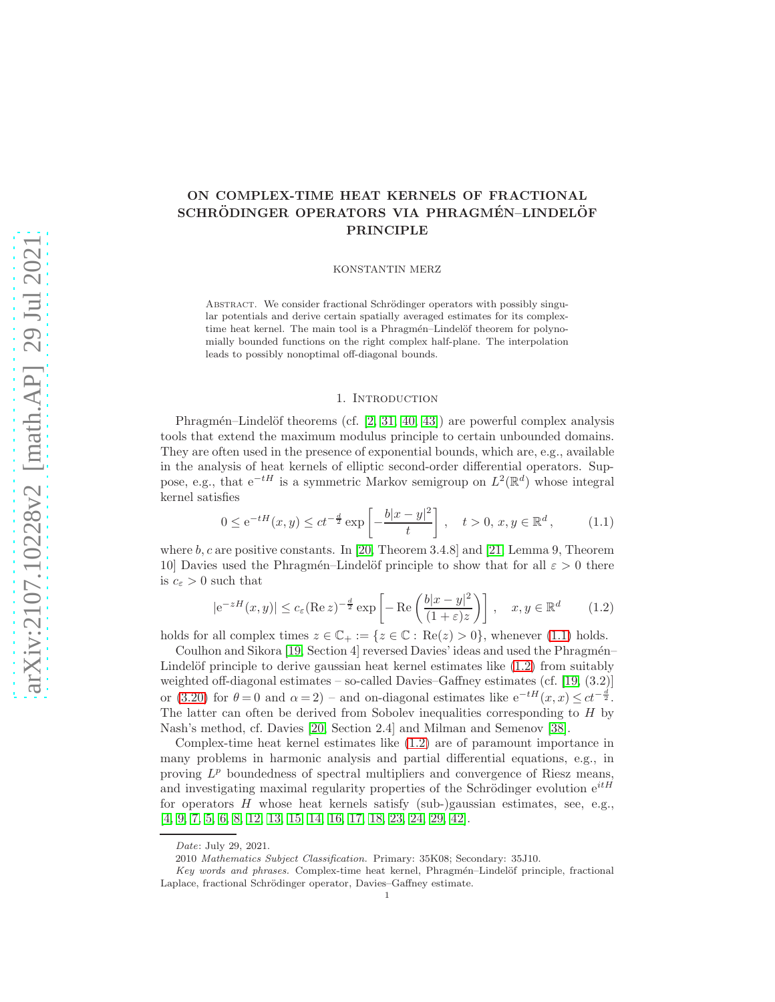# ON COMPLEX-TIME HEAT KERNELS OF FRACTIONAL SCHRÖDINGER OPERATORS VIA PHRAGMÉN-LINDELÖF PRINCIPLE

KONSTANTIN MERZ

ABSTRACT. We consider fractional Schrödinger operators with possibly singular potentials and derive certain spatially averaged estimates for its complextime heat kernel. The main tool is a Phragmén–Lindelöf theorem for polynomially bounded functions on the right complex half-plane. The interpolation leads to possibly nonoptimal off-diagonal bounds.

## <span id="page-0-1"></span><span id="page-0-0"></span>1. Introduction

Phragmén–Lindelöf theorems (cf.  $[2, 31, 40, 43]$  $[2, 31, 40, 43]$  $[2, 31, 40, 43]$  $[2, 31, 40, 43]$ ) are powerful complex analysis tools that extend the maximum modulus principle to certain unbounded domains. They are often used in the presence of exponential bounds, which are, e.g., available in the analysis of heat kernels of elliptic second-order differential operators. Suppose, e.g., that  $e^{-tH}$  is a symmetric Markov semigroup on  $L^2(\mathbb{R}^d)$  whose integral kernel satisfies

$$
0 \le e^{-tH}(x, y) \le ct^{-\frac{d}{2}} \exp\left[-\frac{b|x-y|^2}{t}\right], \quad t > 0, x, y \in \mathbb{R}^d,
$$
 (1.1)

where  $b, c$  are positive constants. In [\[20,](#page-19-2) Theorem 3.4.8] and [\[21,](#page-19-3) Lemma 9, Theorem 10] Davies used the Phragmén–Lindelöf principle to show that for all  $\varepsilon > 0$  there is  $c_{\varepsilon} > 0$  such that

$$
|e^{-zH}(x,y)| \le c_{\varepsilon}(\operatorname{Re} z)^{-\frac{d}{2}} \exp\left[-\operatorname{Re}\left(\frac{b|x-y|^2}{(1+\varepsilon)z}\right)\right], \quad x, y \in \mathbb{R}^d \tag{1.2}
$$

holds for all complex times  $z \in \mathbb{C}_+ := \{z \in \mathbb{C} : \text{Re}(z) > 0\}$ , whenever [\(1.1\)](#page-0-0) holds.

Coulhon and Sikora [\[19,](#page-19-4) Section 4] reversed Davies' ideas and used the Phragmén-Lindelöf principle to derive gaussian heat kernel estimates like  $(1.2)$  from suitably weighted off-diagonal estimates – so-called Davies–Gaffney estimates (cf. [\[19,](#page-19-4) (3.2)] or [\(3.20\)](#page-8-0) for  $\theta = 0$  and  $\alpha = 2$ ) – and on-diagonal estimates like  $e^{-tH}(x, x) \le ct^{-\frac{d}{2}}$ . The latter can often be derived from Sobolev inequalities corresponding to H by Nash's method, cf. Davies [\[20,](#page-19-2) Section 2.4] and Milman and Semenov [\[38\]](#page-19-5).

Complex-time heat kernel estimates like [\(1.2\)](#page-0-1) are of paramount importance in many problems in harmonic analysis and partial differential equations, e.g., in proving  $L^p$  boundedness of spectral multipliers and convergence of Riesz means, and investigating maximal regularity properties of the Schrödinger evolution  $e^{itH}$ for operators  $H$  whose heat kernels satisfy (sub-)gaussian estimates, see, e.g., [\[4,](#page-18-1) [9,](#page-18-2) [7,](#page-18-3) [5,](#page-18-4) [6,](#page-18-5) [8,](#page-18-6) [12,](#page-18-7) [13,](#page-18-8) [15,](#page-19-6) [14,](#page-18-9) [16,](#page-19-7) [17,](#page-19-8) [18,](#page-19-9) [23,](#page-19-10) [24,](#page-19-11) [29,](#page-19-12) [42\]](#page-20-1).

Date: July 29, 2021.

<sup>2010</sup> Mathematics Subject Classification. Primary: 35K08; Secondary: 35J10.

Key words and phrases. Complex-time heat kernel, Phragmén–Lindelöf principle, fractional Laplace, fractional Schrödinger operator, Davies–Gaffney estimate.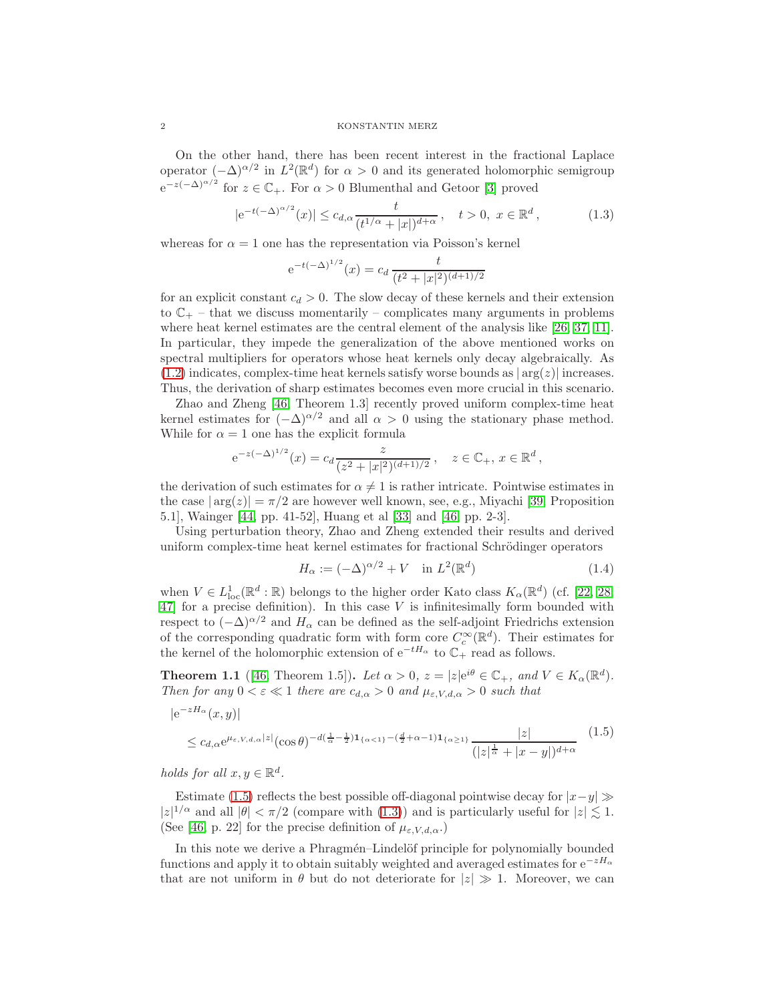On the other hand, there has been recent interest in the fractional Laplace operator  $(-\Delta)^{\alpha/2}$  in  $L^2(\mathbb{R}^d)$  for  $\alpha > 0$  and its generated holomorphic semigroup  $e^{-z(-\Delta)^{\alpha/2}}$  for  $z \in \mathbb{C}_+$ . For  $\alpha > 0$  Blumenthal and Getoor [\[3\]](#page-18-10) proved

$$
|e^{-t(-\Delta)^{\alpha/2}}(x)| \le c_{d,\alpha} \frac{t}{(t^{1/\alpha}+|x|)^{d+\alpha}}, \quad t > 0, \ x \in \mathbb{R}^d,
$$
 (1.3)

whereas for  $\alpha = 1$  one has the representation via Poisson's kernel

<span id="page-1-1"></span>
$$
e^{-t(-\Delta)^{1/2}}(x) = c_d \frac{t}{(t^2+|x|^2)^{(d+1)/2}}
$$

for an explicit constant  $c_d > 0$ . The slow decay of these kernels and their extension to  $\mathbb{C}_+$  – that we discuss momentarily – complicates many arguments in problems where heat kernel estimates are the central element of the analysis like [\[26,](#page-19-13) [37,](#page-19-14) [11\]](#page-18-11). In particular, they impede the generalization of the above mentioned works on spectral multipliers for operators whose heat kernels only decay algebraically. As  $(1.2)$  indicates, complex-time heat kernels satisfy worse bounds as  $|\arg(z)|$  increases. Thus, the derivation of sharp estimates becomes even more crucial in this scenario.

Zhao and Zheng [\[46,](#page-20-2) Theorem 1.3] recently proved uniform complex-time heat kernel estimates for  $(-\Delta)^{\alpha/2}$  and all  $\alpha > 0$  using the stationary phase method. While for  $\alpha = 1$  one has the explicit formula

$$
e^{-z(-\Delta)^{1/2}}(x) = c_d \frac{z}{(z^2+|x|^2)^{(d+1)/2}}, \quad z \in \mathbb{C}_+, x \in \mathbb{R}^d,
$$

the derivation of such estimates for  $\alpha \neq 1$  is rather intricate. Pointwise estimates in the case  $|\arg(z)| = \pi/2$  are however well known, see, e.g., Miyachi [\[39,](#page-19-15) Proposition 5.1], Wainger [\[44,](#page-20-3) pp. 41-52], Huang et al [\[33\]](#page-19-16) and [\[46,](#page-20-2) pp. 2-3].

Using perturbation theory, Zhao and Zheng extended their results and derived uniform complex-time heat kernel estimates for fractional Schrödinger operators

<span id="page-1-2"></span><span id="page-1-0"></span>
$$
H_{\alpha} := (-\Delta)^{\alpha/2} + V \quad \text{in } L^{2}(\mathbb{R}^{d})
$$
\n(1.4)

when  $V \in L^1_{loc}(\mathbb{R}^d : \mathbb{R})$  belongs to the higher order Kato class  $K_\alpha(\mathbb{R}^d)$  (cf. [\[22,](#page-19-17) [28,](#page-19-18)  $47$ ] for a precise definition). In this case V is infinitesimally form bounded with respect to  $(-\Delta)^{\alpha/2}$  and  $H_{\alpha}$  can be defined as the self-adjoint Friedrichs extension of the corresponding quadratic form with form core  $C_c^{\infty}(\mathbb{R}^d)$ . Their estimates for the kernel of the holomorphic extension of  $e^{-tH_{\alpha}}$  to  $\mathbb{C}_{+}$  read as follows.

**Theorem 1.1** ([\[46,](#page-20-2) Theorem 1.5]). Let  $\alpha > 0$ ,  $z = |z|e^{i\theta} \in \mathbb{C}_+$ , and  $V \in K_{\alpha}(\mathbb{R}^d)$ . Then for any  $0 < \varepsilon \ll 1$  there are  $c_{d,\alpha} > 0$  and  $\mu_{\varepsilon,V,d,\alpha} > 0$  such that

$$
|e^{-zH_{\alpha}}(x,y)|
$$
  
\n
$$
\leq c_{d,\alpha}e^{\mu_{\varepsilon,V,d,\alpha}|z|}(\cos\theta)^{-d(\frac{1}{\alpha}-\frac{1}{2})\mathbf{1}_{\{\alpha<1\}}-(\frac{d}{2}+\alpha-1)\mathbf{1}_{\{\alpha\geq1\}}}\frac{|z|}{(|z|^{\frac{1}{\alpha}}+|x-y|)^{d+\alpha}}
$$
(1.5)

holds for all  $x, y \in \mathbb{R}^d$ .

Estimate [\(1.5\)](#page-1-0) reflects the best possible off-diagonal pointwise decay for  $|x-y| \gg$  $|z|^{1/\alpha}$  and all  $|\theta| < \pi/2$  (compare with [\(1.3\)](#page-1-1)) and is particularly useful for  $|z| \lesssim 1$ . (See [\[46,](#page-20-2) p. 22] for the precise definition of  $\mu_{\varepsilon,V,d,\alpha}$ .)

In this note we derive a Phragmén–Lindelöf principle for polynomially bounded functions and apply it to obtain suitably weighted and averaged estimates for  $e^{-zH_{\alpha}}$ that are not uniform in  $\theta$  but do not deteriorate for  $|z| \gg 1$ . Moreover, we can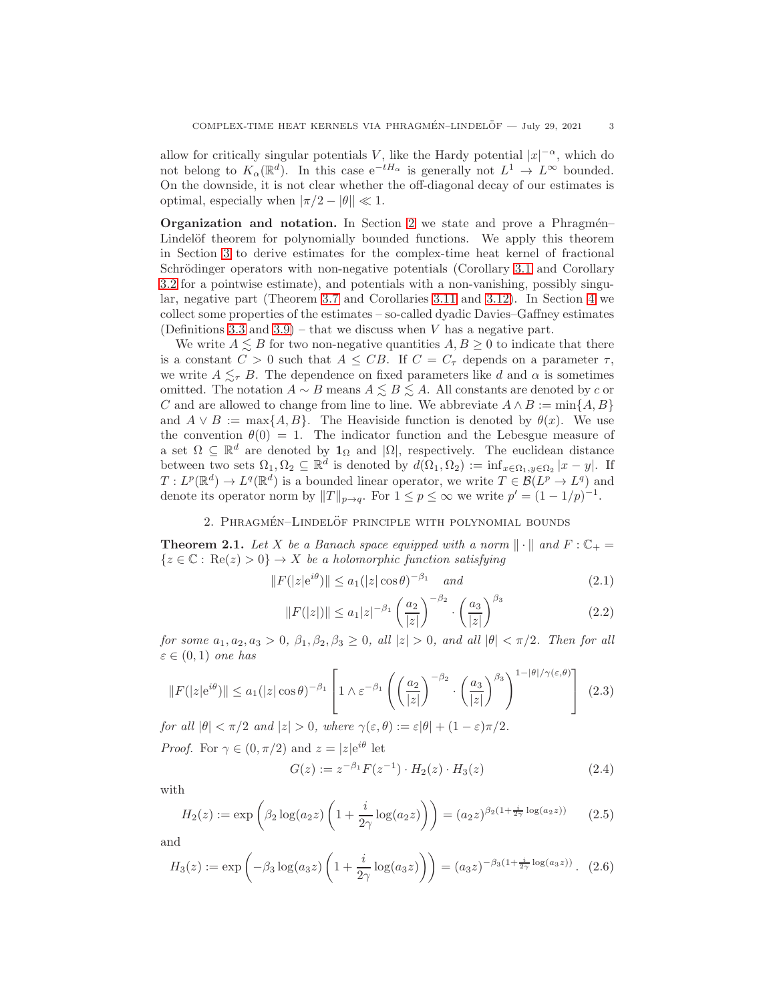allow for critically singular potentials V, like the Hardy potential  $|x|^{-\alpha}$ , which do not belong to  $K_{\alpha}(\mathbb{R}^d)$ . In this case  $e^{-tH_{\alpha}}$  is generally not  $L^1 \to L^{\infty}$  bounded. On the downside, it is not clear whether the off-diagonal decay of our estimates is optimal, especially when  $|\pi/2 - \theta| \ll 1$ .

**Organization and notation.** In Section [2](#page-2-0) we state and prove a Phragmén– Lindelöf theorem for polynomially bounded functions. We apply this theorem in Section [3](#page-3-0) to derive estimates for the complex-time heat kernel of fractional Schrödinger operators with non-negative potentials (Corollary [3.1](#page-4-0) and Corollary [3.2](#page-5-0) for a pointwise estimate), and potentials with a non-vanishing, possibly singular, negative part (Theorem [3.7](#page-8-1) and Corollaries [3.11](#page-11-0) and [3.12\)](#page-12-0). In Section [4](#page-13-0) we collect some properties of the estimates – so-called dyadic Davies–Gaffney estimates (Definitions [3.3](#page-6-0) and [3.9\)](#page-10-0) – that we discuss when V has a negative part.

We write  $A \leq B$  for two non-negative quantities  $A, B \geq 0$  to indicate that there is a constant  $C > 0$  such that  $A \leq CB$ . If  $C = C_{\tau}$  depends on a parameter  $\tau$ , we write  $A \leq_{\tau} B$ . The dependence on fixed parameters like d and  $\alpha$  is sometimes omitted. The notation  $A \sim B$  means  $A \leq B \leq A$ . All constants are denoted by c or C and are allowed to change from line to line. We abbreviate  $A \wedge B := \min\{A, B\}$ and  $A \vee B := \max\{A, B\}$ . The Heaviside function is denoted by  $\theta(x)$ . We use the convention  $\theta(0) = 1$ . The indicator function and the Lebesgue measure of a set  $\Omega \subseteq \mathbb{R}^d$  are denoted by  $\mathbf{1}_{\Omega}$  and  $|\Omega|$ , respectively. The euclidean distance between two sets  $\Omega_1, \Omega_2 \subseteq \mathbb{R}^d$  is denoted by  $d(\Omega_1, \Omega_2) := \inf_{x \in \Omega_1, y \in \Omega_2} |x - y|$ . If  $T: L^p(\mathbb{R}^d) \to L^q(\mathbb{R}^d)$  is a bounded linear operator, we write  $T \in \mathcal{B}(L^p \to L^q)$  and denote its operator norm by  $||T||_{p\rightarrow q}$ . For  $1 \le p \le \infty$  we write  $p' = (1 - 1/p)^{-1}$ .

## 2. PHRAGMÉN-LINDELÖF PRINCIPLE WITH POLYNOMIAL BOUNDS

<span id="page-2-4"></span><span id="page-2-0"></span>**Theorem 2.1.** Let X be a Banach space equipped with a norm  $\|\cdot\|$  and  $F : \mathbb{C}_+$  ${z \in \mathbb{C} : \text{Re}(z) > 0} \rightarrow X$  be a holomorphic function satisfying

$$
||F(|z|e^{i\theta})|| \le a_1(|z|\cos\theta)^{-\beta_1} \quad and \tag{2.1}
$$

<span id="page-2-3"></span>
$$
||F(|z|)|| \le a_1 |z|^{-\beta_1} \left(\frac{a_2}{|z|}\right)^{-\beta_2} \cdot \left(\frac{a_3}{|z|}\right)^{\beta_3}
$$
\n(2.2)

for some  $a_1, a_2, a_3 > 0$ ,  $\beta_1, \beta_2, \beta_3 \geq 0$ , all  $|z| > 0$ , and all  $|\theta| < \pi/2$ . Then for all  $\varepsilon \in (0,1)$  one has

$$
||F(|z|e^{i\theta})|| \le a_1(|z|\cos\theta)^{-\beta_1} \left[1 \wedge \varepsilon^{-\beta_1} \left(\left(\frac{a_2}{|z|}\right)^{-\beta_2} \cdot \left(\frac{a_3}{|z|}\right)^{\beta_3}\right)^{1-|\theta|/\gamma(\varepsilon,\theta)}\right] (2.3)
$$

for all  $|\theta| < \pi/2$  and  $|z| > 0$ , where  $\gamma(\varepsilon, \theta) := \varepsilon |\theta| + (1 - \varepsilon)\pi/2$ .

*Proof.* For  $\gamma \in (0, \pi/2)$  and  $z = |z|e^{i\theta}$  let

<span id="page-2-2"></span><span id="page-2-1"></span>
$$
G(z) := z^{-\beta_1} F(z^{-1}) \cdot H_2(z) \cdot H_3(z) \tag{2.4}
$$

with

$$
H_2(z) := \exp\left(\beta_2 \log(a_2 z) \left(1 + \frac{i}{2\gamma} \log(a_2 z)\right)\right) = (a_2 z)^{\beta_2 (1 + \frac{i}{2\gamma} \log(a_2 z))}
$$
(2.5)

and

$$
H_3(z) := \exp\left(-\beta_3 \log(a_3 z) \left(1 + \frac{i}{2\gamma} \log(a_3 z)\right)\right) = (a_3 z)^{-\beta_3 (1 + \frac{i}{2\gamma} \log(a_3 z))}.
$$
 (2.6)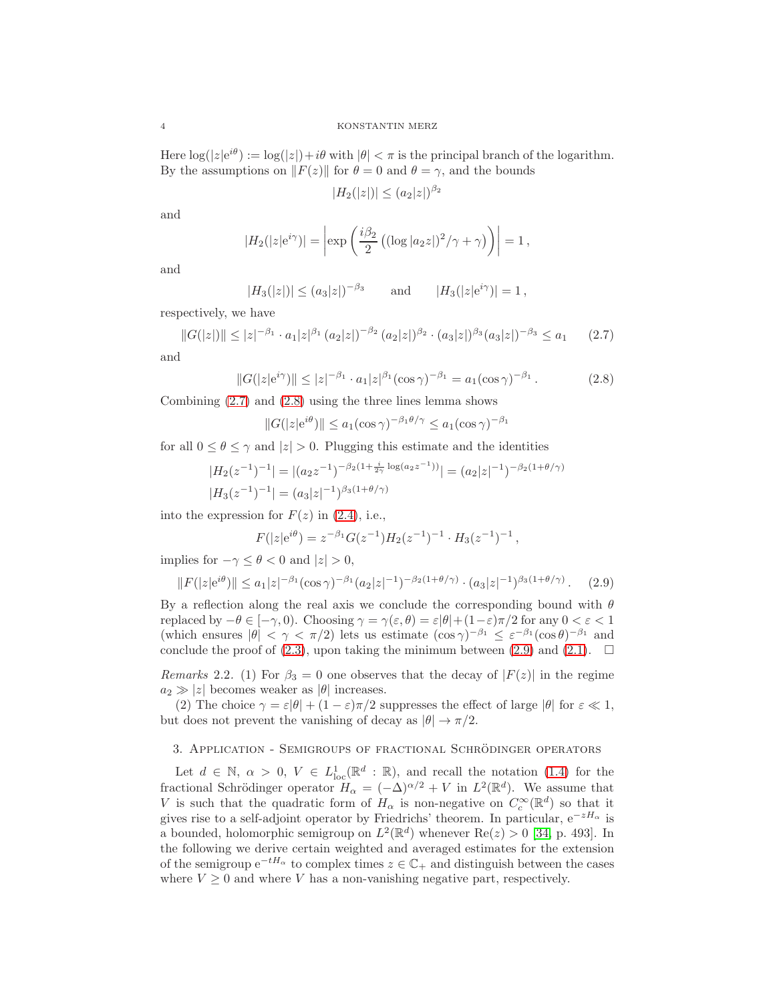Here  $\log(|z|e^{i\theta}) := \log(|z|) + i\theta$  with  $|\theta| < \pi$  is the principal branch of the logarithm. By the assumptions on  $||F(z)||$  for  $\theta = 0$  and  $\theta = \gamma$ , and the bounds

<span id="page-3-2"></span><span id="page-3-1"></span>
$$
|H_2(|z|)| \le (a_2|z|)^{\beta_2}
$$

and

$$
|H_2(|z|e^{i\gamma})| = \left|\exp\left(\frac{i\beta_2}{2}\left((\log|a_2z|)^2/\gamma + \gamma\right)\right)\right| = 1,
$$

and

$$
|H_3(|z|)| \le (a_3|z|)^{-\beta_3}
$$
 and  $|H_3(|z|e^{i\gamma})| = 1$ ,

respectively, we have

$$
||G(|z|)|| \le |z|^{-\beta_1} \cdot a_1 |z|^{\beta_1} (a_2 |z|)^{-\beta_2} (a_2 |z|)^{\beta_2} \cdot (a_3 |z|)^{\beta_3} (a_3 |z|)^{-\beta_3} \le a_1 \qquad (2.7)
$$

and

$$
||G(|z|e^{i\gamma})|| \le |z|^{-\beta_1} \cdot a_1 |z|^{\beta_1} (\cos \gamma)^{-\beta_1} = a_1 (\cos \gamma)^{-\beta_1} . \tag{2.8}
$$

Combining [\(2.7\)](#page-3-1) and [\(2.8\)](#page-3-2) using the three lines lemma shows

$$
||G(|z|e^{i\theta})|| \le a_1(\cos \gamma)^{-\beta_1 \theta/\gamma} \le a_1(\cos \gamma)^{-\beta_1}
$$

for all  $0 \le \theta \le \gamma$  and  $|z| > 0$ . Plugging this estimate and the identities

$$
|H_2(z^{-1})^{-1}| = |(a_2 z^{-1})^{-\beta_2(1 + \frac{i}{2\gamma} \log(a_2 z^{-1}))}| = (a_2 |z|^{-1})^{-\beta_2(1 + \theta/\gamma)}
$$
  

$$
|H_3(z^{-1})^{-1}| = (a_3 |z|^{-1})^{\beta_3(1 + \theta/\gamma)}
$$

into the expression for  $F(z)$  in [\(2.4\)](#page-2-1), i.e.,

<span id="page-3-3"></span>
$$
F(|z|e^{i\theta}) = z^{-\beta_1} G(z^{-1}) H_2(z^{-1})^{-1} \cdot H_3(z^{-1})^{-1},
$$

implies for  $-\gamma \leq \theta < 0$  and  $|z| > 0$ ,

$$
||F(|z|e^{i\theta})|| \le a_1|z|^{-\beta_1}(\cos \gamma)^{-\beta_1}(a_2|z|^{-1})^{-\beta_2(1+\theta/\gamma)} \cdot (a_3|z|^{-1})^{\beta_3(1+\theta/\gamma)}.
$$
 (2.9)

By a reflection along the real axis we conclude the corresponding bound with  $\theta$ replaced by  $-\theta \in [-\gamma, 0)$ . Choosing  $\gamma = \gamma(\varepsilon, \theta) = \varepsilon |\theta| + (1-\varepsilon)\pi/2$  for any  $0 < \varepsilon < 1$ (which ensures  $|\theta| < \gamma < \pi/2$ ) lets us estimate  $(\cos \gamma)^{-\beta_1} \leq \varepsilon^{-\beta_1} (\cos \theta)^{-\beta_1}$  and conclude the proof of  $(2.3)$ , upon taking the minimum between  $(2.9)$  and  $(2.1)$ .  $\Box$ 

Remarks 2.2. (1) For  $\beta_3 = 0$  one observes that the decay of  $|F(z)|$  in the regime  $a_2 \gg |z|$  becomes weaker as  $|\theta|$  increases.

(2) The choice  $\gamma = \varepsilon |\theta| + (1 - \varepsilon) \pi/2$  suppresses the effect of large  $|\theta|$  for  $\varepsilon \ll 1$ , but does not prevent the vanishing of decay as  $|\theta| \to \pi/2$ .

## <span id="page-3-0"></span>3. Application - Semigroups of fractional Schrodinger operators ¨

Let  $d \in \mathbb{N}$ ,  $\alpha > 0$ ,  $V \in L^1_{loc}(\mathbb{R}^d : \mathbb{R})$ , and recall the notation [\(1.4\)](#page-1-2) for the fractional Schrödinger operator  $H_{\alpha} = (-\Delta)^{\alpha/2} + V$  in  $L^2(\mathbb{R}^d)$ . We assume that V is such that the quadratic form of  $H_{\alpha}$  is non-negative on  $C_c^{\infty}(\mathbb{R}^d)$  so that it gives rise to a self-adjoint operator by Friedrichs' theorem. In particular,  $e^{-zH_{\alpha}}$  is a bounded, holomorphic semigroup on  $L^2(\mathbb{R}^d)$  whenever  $\text{Re}(z) > 0$  [\[34,](#page-19-19) p. 493]. In the following we derive certain weighted and averaged estimates for the extension of the semigroup  $e^{-tH_{\alpha}}$  to complex times  $z \in \mathbb{C}_+$  and distinguish between the cases where  $V \geq 0$  and where V has a non-vanishing negative part, respectively.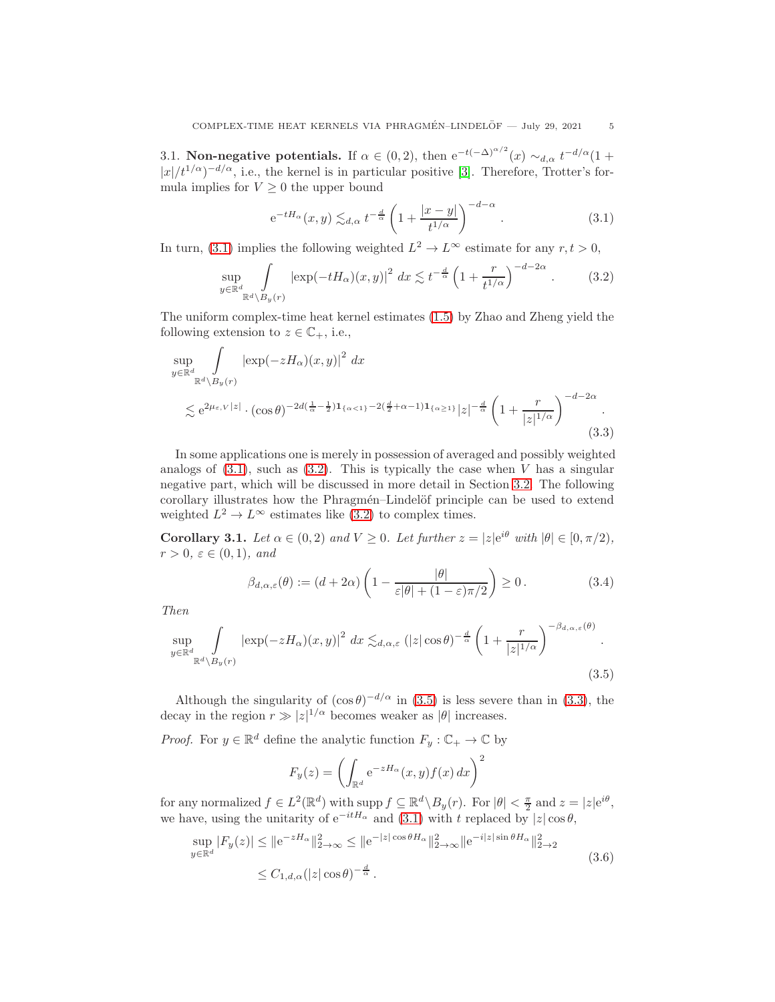3.1. Non-negative potentials. If  $\alpha \in (0, 2)$ , then  $e^{-t(-\Delta)^{\alpha/2}}(x) \sim_{d,\alpha} t^{-d/\alpha} (1+\alpha)$  $|x|/t^{1/\alpha}$ <sup>-d/ $\alpha$ </sup>, i.e., the kernel is in particular positive [\[3\]](#page-18-10). Therefore, Trotter's formula implies for  $V \geq 0$  the upper bound

<span id="page-4-2"></span><span id="page-4-1"></span>
$$
e^{-tH_{\alpha}}(x,y) \lesssim_{d,\alpha} t^{-\frac{d}{\alpha}} \left(1 + \frac{|x-y|}{t^{1/\alpha}}\right)^{-d-\alpha}.
$$
 (3.1)

In turn, [\(3.1\)](#page-4-1) implies the following weighted  $L^2 \to L^{\infty}$  estimate for any  $r, t > 0$ ,

$$
\sup_{y \in \mathbb{R}^d} \int_{\mathbb{R}^d \setminus B_y(r)} \left| \exp(-tH_\alpha)(x, y) \right|^2 dx \lesssim t^{-\frac{d}{\alpha}} \left( 1 + \frac{r}{t^{1/\alpha}} \right)^{-d-2\alpha} . \tag{3.2}
$$

The uniform complex-time heat kernel estimates [\(1.5\)](#page-1-0) by Zhao and Zheng yield the following extension to  $z \in \mathbb{C}_+$ , i.e.,

$$
\sup_{y \in \mathbb{R}^d} \int_{\mathbb{R}^d \setminus B_y(r)} |\exp(-zH_\alpha)(x, y)|^2 dx
$$
  
\$\lesssim e^{2\mu\_{\varepsilon, V}|z|} \cdot (\cos \theta)^{-2d(\frac{1}{\alpha} - \frac{1}{2})\mathbf{1}\_{\{\alpha < 1\}} - 2(\frac{d}{2} + \alpha - 1)\mathbf{1}\_{\{\alpha \ge 1\}}}|z|^{-\frac{d}{\alpha}} \left(1 + \frac{r}{|z|^{1/\alpha}}\right)^{-d-2\alpha}.\n\tag{3.3}

In some applications one is merely in possession of averaged and possibly weighted analogs of  $(3.1)$ , such as  $(3.2)$ . This is typically the case when V has a singular negative part, which will be discussed in more detail in Section [3.2.](#page-5-1) The following corollary illustrates how the Phragmén–Lindelöf principle can be used to extend weighted  $L^2 \to L^{\infty}$  estimates like [\(3.2\)](#page-4-2) to complex times.

<span id="page-4-0"></span>**Corollary 3.1.** Let  $\alpha \in (0,2)$  and  $V \ge 0$ . Let further  $z = |z|e^{i\theta}$  with  $|\theta| \in [0,\pi/2)$ ,  $r > 0, \varepsilon \in (0, 1), \text{ and}$ 

<span id="page-4-4"></span>
$$
\beta_{d,\alpha,\varepsilon}(\theta) := (d + 2\alpha) \left( 1 - \frac{|\theta|}{\varepsilon |\theta| + (1 - \varepsilon)\pi/2} \right) \ge 0. \tag{3.4}
$$

Then

$$
\sup_{y \in \mathbb{R}^d} \int_{\mathbb{R}^d \setminus B_y(r)} |\exp(-zH_\alpha)(x,y)|^2 dx \lesssim_{d,\alpha,\varepsilon} (|z|\cos\theta)^{-\frac{d}{\alpha}} \left(1 + \frac{r}{|z|^{1/\alpha}}\right)^{-\beta_{d,\alpha,\varepsilon}(\theta)}.
$$
\n(3.5)

Although the singularity of  $(\cos \theta)^{-d/\alpha}$  in [\(3.5\)](#page-4-3) is less severe than in [\(3.3\)](#page-4-4), the decay in the region  $r \gg |z|^{1/\alpha}$  becomes weaker as  $|\theta|$  increases.

*Proof.* For  $y \in \mathbb{R}^d$  define the analytic function  $F_y : \mathbb{C}_+ \to \mathbb{C}$  by

<span id="page-4-3"></span>
$$
F_y(z) = \left(\int_{\mathbb{R}^d} e^{-zH_\alpha}(x, y) f(x) dx\right)^2
$$

for any normalized  $f \in L^2(\mathbb{R}^d)$  with supp  $f \subseteq \mathbb{R}^d \setminus B_y(r)$ . For  $|\theta| < \frac{\pi}{2}$  and  $z = |z|e^{i\theta}$ , we have, using the unitarity of  $e^{-itH_\alpha}$  and [\(3.1\)](#page-4-1) with t replaced by  $|z|\cos\theta$ ,

$$
\sup_{y \in \mathbb{R}^d} |F_y(z)| \le ||e^{-zH_\alpha}||_{2 \to \infty}^2 \le ||e^{-|z|\cos\theta H_\alpha}||_{2 \to \infty}^2 ||e^{-i|z|\sin\theta H_\alpha}||_{2 \to 2}^2
$$
  

$$
\le C_{1,d,\alpha}(|z|\cos\theta)^{-\frac{d}{\alpha}}.
$$
 (3.6)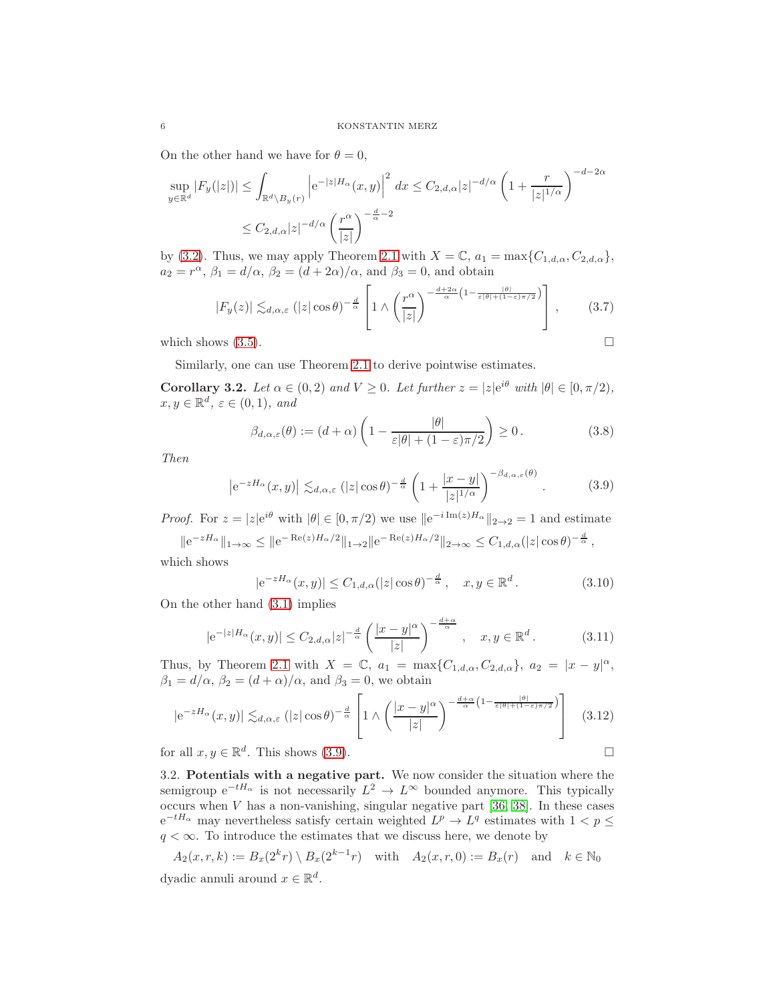On the other hand we have for  $\theta = 0$ ,

$$
\sup_{y \in \mathbb{R}^d} |F_y(|z|)| \le \int_{\mathbb{R}^d \setminus B_y(r)} \left| e^{-|z|H_\alpha}(x, y) \right|^2 dx \le C_{2, d, \alpha} |z|^{-d/\alpha} \left( 1 + \frac{r}{|z|^{1/\alpha}} \right)^{-d-2\alpha}
$$
  

$$
\le C_{2, d, \alpha} |z|^{-d/\alpha} \left( \frac{r^\alpha}{|z|} \right)^{-\frac{d}{\alpha} - 2}
$$

by [\(3.2\)](#page-4-2). Thus, we may apply Theorem [2.1](#page-2-4) with  $X = \mathbb{C}$ ,  $a_1 = \max\{C_{1,d,\alpha}, C_{2,d,\alpha}\}\,$  $a_2 = r^{\alpha}, \beta_1 = d/\alpha, \beta_2 = (d + 2\alpha)/\alpha, \text{ and } \beta_3 = 0, \text{ and obtain}$ 

$$
|F_y(z)| \lesssim_{d,\alpha,\varepsilon} (|z|\cos\theta)^{-\frac{d}{\alpha}} \left[1 \wedge \left(\frac{r^{\alpha}}{|z|}\right)^{-\frac{d+2\alpha}{\alpha}\left(1-\frac{|\theta|}{\varepsilon|\theta|+(1-\varepsilon)\pi/2}\right)}\right], \qquad (3.7)
$$
  
which shows (3.5).

Similarly, one can use Theorem [2.1](#page-2-4) to derive pointwise estimates.

<span id="page-5-0"></span>**Corollary 3.2.** Let  $\alpha \in (0,2)$  and  $V \ge 0$ . Let further  $z = |z|e^{i\theta}$  with  $|\theta| \in [0,\pi/2)$ ,  $x, y \in \mathbb{R}^d, \, \varepsilon \in (0, 1), \, \text{and}$ 

<span id="page-5-2"></span>
$$
\beta_{d,\alpha,\varepsilon}(\theta) := (d+\alpha) \left(1 - \frac{|\theta|}{\varepsilon|\theta| + (1-\varepsilon)\pi/2}\right) \ge 0.
$$
\n(3.8)

Then

$$
\left| e^{-zH_{\alpha}}(x,y) \right| \lesssim_{d,\alpha,\varepsilon} (|z|\cos\theta)^{-\frac{d}{\alpha}} \left( 1 + \frac{|x-y|}{|z|^{1/\alpha}} \right)^{-\beta_{d,\alpha,\varepsilon}(\theta)}.
$$
 (3.9)

*Proof.* For  $z = |z|e^{i\theta}$  with  $|\theta| \in [0, \pi/2)$  we use  $||e^{-i \text{Im}(z)H_{\alpha}}||_{2 \to 2} = 1$  and estimate

 $||e^{-zH_{\alpha}}||_{1\to\infty} \leq ||e^{-\operatorname{Re}(z)H_{\alpha}/2}||_{1\to 2} ||e^{-\operatorname{Re}(z)H_{\alpha}/2}||_{2\to\infty} \leq C_{1,d,\alpha}(|z|\cos\theta)^{-\frac{d}{\alpha}},$ which shows

$$
|e^{-zH_{\alpha}}(x,y)| \leq C_{1,d,\alpha}(|z|\cos\theta)^{-\frac{d}{\alpha}}, \quad x,y \in \mathbb{R}^d.
$$
 (3.10)

On the other hand [\(3.1\)](#page-4-1) implies

$$
|e^{-|z|H_{\alpha}}(x,y)| \leq C_{2,d,\alpha}|z|^{-\frac{d}{\alpha}} \left(\frac{|x-y|^{\alpha}}{|z|}\right)^{-\frac{d+\alpha}{\alpha}}, \quad x, y \in \mathbb{R}^d. \tag{3.11}
$$

Thus, by Theorem [2.1](#page-2-4) with  $X = \mathbb{C}$ ,  $a_1 = \max\{C_{1,d,\alpha}, C_{2,d,\alpha}\}, a_2 = |x - y|^{\alpha}$ ,  $\beta_1 = d/\alpha$ ,  $\beta_2 = (d+\alpha)/\alpha$ , and  $\beta_3 = 0$ , we obtain

$$
\left| e^{-zH_{\alpha}}(x,y) \right| \lesssim_{d,\alpha,\varepsilon} (|z|\cos\theta)^{-\frac{d}{\alpha}} \left[ 1 \wedge \left( \frac{|x-y|^{\alpha}}{|z|} \right)^{-\frac{d+\alpha}{\alpha} \left( 1 - \frac{|\theta|}{\varepsilon|\theta| + (1-\varepsilon)\pi/2} \right)} \right] \quad (3.12)
$$

for all  $x, y \in \mathbb{R}^d$ . This shows [\(3.9\)](#page-5-2).

<span id="page-5-1"></span>3.2. Potentials with a negative part. We now consider the situation where the semigroup  $e^{-tH_{\alpha}}$  is not necessarily  $L^2 \to L^{\infty}$  bounded anymore. This typically occurs when  $V$  has a non-vanishing, singular negative part [\[36,](#page-19-20) [38\]](#page-19-5). In these cases  $e^{-tH_{\alpha}}$  may nevertheless satisfy certain weighted  $L^p \to L^q$  estimates with  $1 < p \leq$  $q < \infty$ . To introduce the estimates that we discuss here, we denote by

$$
A_2(x,r,k) := B_x(2^k r) \setminus B_x(2^{k-1} r) \quad \text{with} \quad A_2(x,r,0) := B_x(r) \quad \text{and} \quad k \in \mathbb{N}_0
$$
dyadic annuli around  $x \in \mathbb{R}^d$ .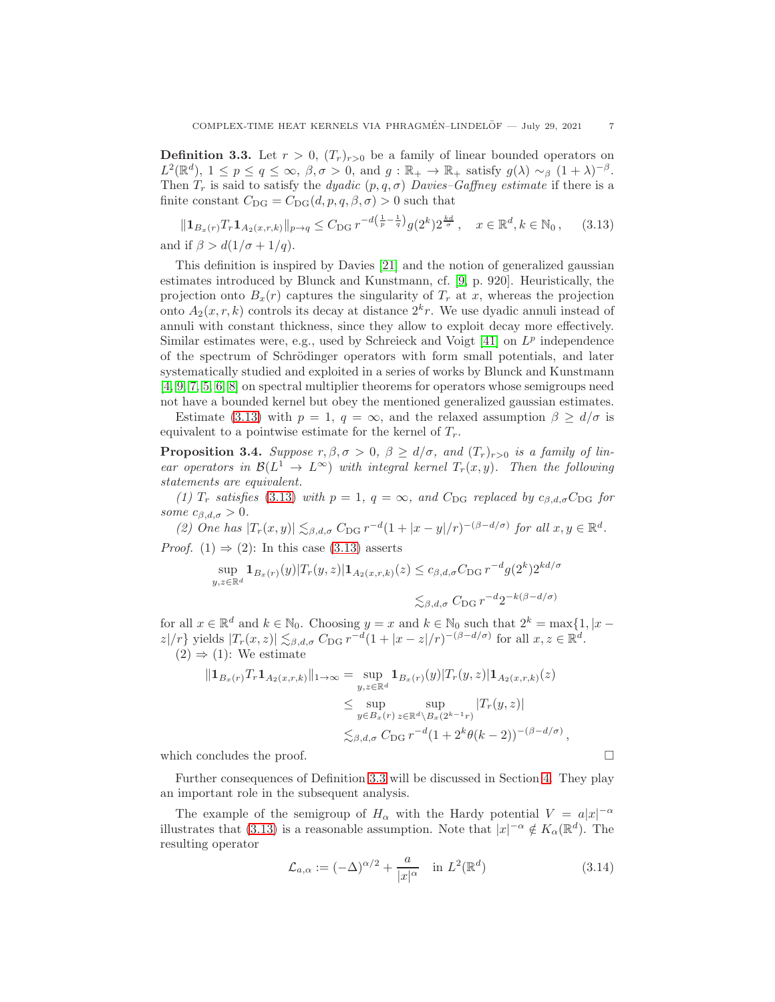<span id="page-6-0"></span>**Definition 3.3.** Let  $r > 0$ ,  $(T_r)_{r>0}$  be a family of linear bounded operators on  $L^2(\mathbb{R}^d)$ ,  $1 \le p \le q \le \infty$ ,  $\beta, \sigma > 0$ , and  $g : \mathbb{R}_+ \to \mathbb{R}_+$  satisfy  $g(\lambda) \sim_\beta (1 + \lambda)^{-\beta}$ . Then  $T_r$  is said to satisfy the *dyadic*  $(p, q, \sigma)$  *Davies–Gaffney estimate* if there is a finite constant  $C_{\text{DG}} = C_{\text{DG}}(d, p, q, \beta, \sigma) > 0$  such that

<span id="page-6-1"></span> $\|\mathbf{1}_{B_x(r)}T_r\mathbf{1}_{A_2(x,r,k)}\|_{p\to q} \leq C_{\text{DG}} r^{-d(\frac{1}{p}-\frac{1}{q})} g(2^k) 2^{\frac{kd}{\sigma}}, \quad x \in \mathbb{R}^d, k \in \mathbb{N}_0,$  (3.13) and if  $\beta > d(1/\sigma + 1/q)$ .

This definition is inspired by Davies [\[21\]](#page-19-3) and the notion of generalized gaussian estimates introduced by Blunck and Kunstmann, cf. [\[9,](#page-18-2) p. 920]. Heuristically, the projection onto  $B_x(r)$  captures the singularity of  $T_r$  at x, whereas the projection onto  $A_2(x, r, k)$  controls its decay at distance  $2<sup>k</sup>r$ . We use dyadic annuli instead of annuli with constant thickness, since they allow to exploit decay more effectively. Similar estimates were, e.g., used by Schreieck and Voigt  $[41]$  on  $L^p$  independence of the spectrum of Schrödinger operators with form small potentials, and later systematically studied and exploited in a series of works by Blunck and Kunstmann [\[4,](#page-18-1) [9,](#page-18-2) [7,](#page-18-3) [5,](#page-18-4) [6,](#page-18-5) [8\]](#page-18-6) on spectral multiplier theorems for operators whose semigroups need not have a bounded kernel but obey the mentioned generalized gaussian estimates.

Estimate [\(3.13\)](#page-6-1) with  $p = 1$ ,  $q = \infty$ , and the relaxed assumption  $\beta \ge d/\sigma$  is equivalent to a pointwise estimate for the kernel of  $T_r$ .

**Proposition 3.4.** Suppose  $r, \beta, \sigma > 0, \beta \ge d/\sigma$ , and  $(T_r)_{r>0}$  is a family of linear operators in  $\mathcal{B}(L^1 \to L^{\infty})$  with integral kernel  $T_r(x, y)$ . Then the following statements are equivalent.

(1)  $T_r$  satisfies [\(3.13\)](#page-6-1) with  $p = 1$ ,  $q = \infty$ , and  $C_{\text{DG}}$  replaced by  $c_{\beta,d,\sigma}C_{\text{DG}}$  for some  $c_{\beta,d,\sigma} > 0$ .

(2) One has  $|T_r(x,y)| \lesssim_{\beta,d,\sigma} C_{\text{DG}} r^{-d} (1+|x-y|/r)^{-(\beta-d/\sigma)}$  for all  $x,y \in \mathbb{R}^d$ . *Proof.* (1)  $\Rightarrow$  (2): In this case [\(3.13\)](#page-6-1) asserts

$$
\sup_{y,z \in \mathbb{R}^d} \mathbf{1}_{B_x(r)}(y) |T_r(y,z)| \mathbf{1}_{A_2(x,r,k)}(z) \le c_{\beta,d,\sigma} C_{\text{DG}} r^{-d} g(2^k) 2^{kd/\sigma}
$$
  

$$
\lesssim_{\beta,d,\sigma} C_{\text{DG}} r^{-d} 2^{-k(\beta-d/\sigma)}
$$

for all  $x \in \mathbb{R}^d$  and  $k \in \mathbb{N}_0$ . Choosing  $y = x$  and  $k \in \mathbb{N}_0$  such that  $2^k = \max\{1, |x |z|/r$ } yields  $|T_r(x,z)| \lesssim_{\beta,d,\sigma} C_{\text{DG}} r^{-d} (1+|x-z|/r)^{-(\beta-d/\sigma)}$  for all  $x,z \in \mathbb{R}^d$ .  $(2) \Rightarrow (1)$ : We estimate

$$
||\mathbf{1}_{B_x(r)}T_r\mathbf{1}_{A_2(x,r,k)}||_{1\to\infty} = \sup_{y,z\in\mathbb{R}^d} \mathbf{1}_{B_x(r)}(y)|T_r(y,z)|\mathbf{1}_{A_2(x,r,k)}(z)
$$
  
\n
$$
\leq \sup_{y\in B_x(r)} \sup_{z\in\mathbb{R}^d\setminus B_x(2^{k-1}r)} |T_r(y,z)|
$$
  
\n
$$
\lesssim_{\beta,d,\sigma} C_{\text{DG}} r^{-d} (1+2^k\theta(k-2))^{-(\beta-d/\sigma)},
$$

which concludes the proof.  $\Box$ 

Further consequences of Definition [3.3](#page-6-0) will be discussed in Section [4.](#page-13-0) They play an important role in the subsequent analysis.

The example of the semigroup of  $H_{\alpha}$  with the Hardy potential  $V = a|x|^{-\alpha}$ illustrates that [\(3.13\)](#page-6-1) is a reasonable assumption. Note that  $|x|^{-\alpha} \notin K_{\alpha}(\mathbb{R}^d)$ . The resulting operator

$$
\mathcal{L}_{a,\alpha} := (-\Delta)^{\alpha/2} + \frac{a}{|x|^{\alpha}} \quad \text{in } L^2(\mathbb{R}^d)
$$
 (3.14)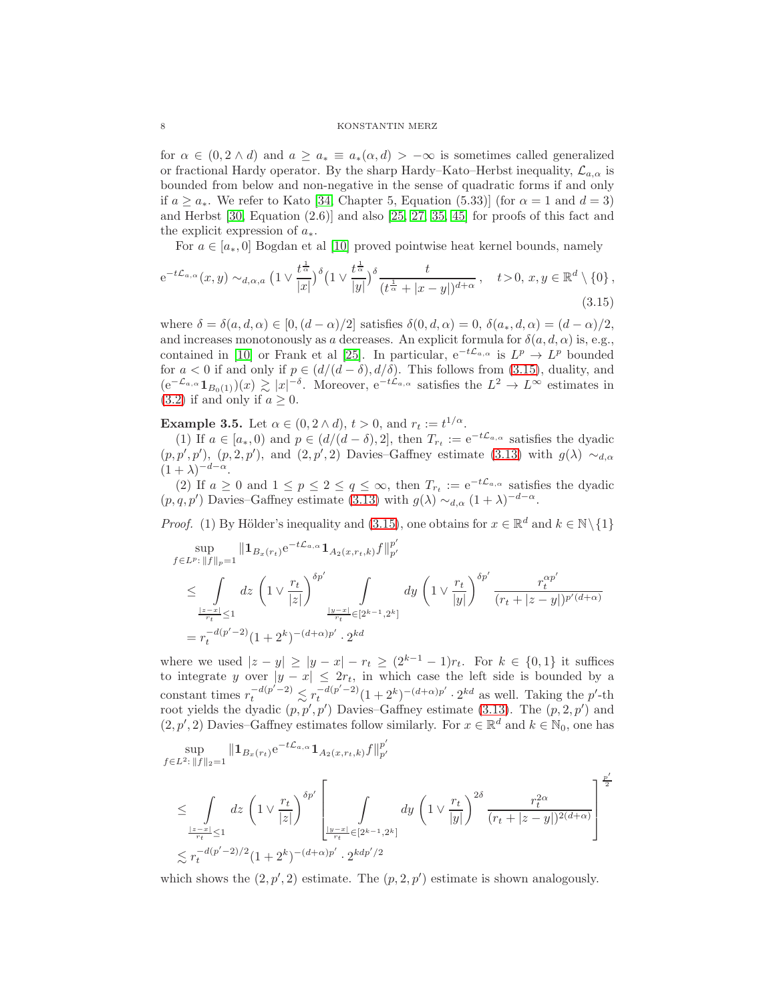for  $\alpha \in (0, 2 \wedge d)$  and  $a \ge a_* \equiv a_*(\alpha, d) > -\infty$  is sometimes called generalized or fractional Hardy operator. By the sharp Hardy–Kato–Herbst inequality,  $\mathcal{L}_{a,\alpha}$  is bounded from below and non-negative in the sense of quadratic forms if and only if  $a \ge a_*$ . We refer to Kato [\[34,](#page-19-19) Chapter 5, Equation (5.33)] (for  $\alpha = 1$  and  $d = 3$ ) and Herbst [\[30,](#page-19-21) Equation (2.6)] and also [\[25,](#page-19-22) [27,](#page-19-23) [35,](#page-19-24) [45\]](#page-20-6) for proofs of this fact and the explicit expression of  $a_*$ .

<span id="page-7-0"></span>For  $a \in [a_*, 0]$  Bogdan et al [\[10\]](#page-18-12) proved pointwise heat kernel bounds, namely

$$
e^{-t\mathcal{L}_{a,\alpha}}(x,y) \sim_{d,\alpha,a} \left(1 \vee \frac{t^{\frac{1}{\alpha}}}{|x|}\right)^{\delta} \left(1 \vee \frac{t^{\frac{1}{\alpha}}}{|y|}\right)^{\delta} \frac{t}{(t^{\frac{1}{\alpha}} + |x-y|)^{d+\alpha}}, \quad t > 0, x, y \in \mathbb{R}^d \setminus \{0\},\tag{3.15}
$$

where  $\delta = \delta(a, d, \alpha) \in [0, (d - \alpha)/2]$  satisfies  $\delta(0, d, \alpha) = 0$ ,  $\delta(a_*, d, \alpha) = (d - \alpha)/2$ , and increases monotonously as a decreases. An explicit formula for  $\delta(a, d, \alpha)$  is, e.g., contained in [\[10\]](#page-18-12) or Frank et al [\[25\]](#page-19-22). In particular,  $e^{-t\mathcal{L}_{a,\alpha}}$  is  $L^p \to L^p$  bounded for  $a < 0$  if and only if  $p \in (d/(d - \delta), d/\delta)$ . This follows from [\(3.15\)](#page-7-0), duality, and  $(e^{-\mathcal{L}_{a,\alpha}}1_{B_0(1)})(x) \gtrsim |x|^{-\delta}$ . Moreover,  $e^{-t\mathcal{L}_{a,\alpha}}$  satisfies the  $L^2 \to L^{\infty}$  estimates in [\(3.2\)](#page-4-2) if and only if  $a \geq 0$ .

<span id="page-7-1"></span>**Example 3.5.** Let  $\alpha \in (0, 2 \wedge d), t > 0$ , and  $r_t := t^{1/\alpha}$ .

(1) If  $a \in [a_*, 0)$  and  $p \in (d/(d-\delta), 2]$ , then  $T_{r_t} := e^{-t\mathcal{L}_{a,\alpha}}$  satisfies the dyadic  $(p, p', p')$ ,  $(p, 2, p')$ , and  $(2, p', 2)$  Davies–Gaffney estimate  $(3.13)$  with  $g(\lambda) \sim_{d,\alpha}$  $(1+\lambda)^{-d-\alpha}$ .

(2) If  $a \geq 0$  and  $1 \leq p \leq 2 \leq q \leq \infty$ , then  $T_{r_t} := e^{-t\mathcal{L}_{a,\alpha}}$  satisfies the dyadic  $(p, q, p')$  Davies–Gaffney estimate [\(3.13\)](#page-6-1) with  $g(\lambda) \sim_{d,\alpha} (1+\lambda)^{-d-\alpha}$ .

*Proof.* (1) By Hölder's inequality and [\(3.15\)](#page-7-0), one obtains for  $x \in \mathbb{R}^d$  and  $k \in \mathbb{N} \setminus \{1\}$ 

$$
\sup_{f \in L^p: \|f\|_p = 1} \|1_{B_x(r_t)} e^{-t\mathcal{L}_{a,\alpha}} 1_{A_2(x,r_t,k)} f\|_{p'}^{p'}
$$
\n
$$
\leq \int_{\frac{|z-x|}{r_t} \leq 1} dz \left(1 \vee \frac{r_t}{|z|}\right)^{\delta p'} \int_{\frac{|y-x|}{r_t} \in [2^{k-1}, 2^k]} dy \left(1 \vee \frac{r_t}{|y|}\right)^{\delta p'} \frac{r_t^{\alpha p'}}{(r_t + |z-y|)^{p'(d+\alpha)}}
$$
\n
$$
= r_t^{-d(p'-2)} (1 + 2^k)^{-(d+\alpha)p'} \cdot 2^{kd}
$$

where we used  $|z - y| \ge |y - x| - r_t \ge (2^{k-1} - 1)r_t$ . For  $k \in \{0, 1\}$  it suffices to integrate y over  $|y - x| \leq 2r_t$ , in which case the left side is bounded by a constant times  $r_t^{-d(p'-2)} \lesssim r_t^{-d(p'-2)} (1+2^k)^{-(d+\alpha)p'} \cdot 2^{kd}$  as well. Taking the p'-th root yields the dyadic  $(p, p', p')$  Davies–Gaffney estimate [\(3.13\)](#page-6-1). The  $(p, 2, p')$  and  $(2, p', 2)$  Davies–Gaffney estimates follow similarly. For  $x \in \mathbb{R}^d$  and  $k \in \mathbb{N}_0$ , one has

$$
\sup_{f \in L^2: \|f\|_2 = 1} \|1_{B_x(r_t)} e^{-t\mathcal{L}_{a,\alpha}} 1_{A_2(x,r_t,k)} f\|_{p'}^{p'}
$$
\n
$$
\leq \int_{\frac{|z-x|}{r_t} \leq 1} dz \left(1 \vee \frac{r_t}{|z|}\right)^{\delta p'} \left[\int_{\frac{|y-x|}{r_t} \in [2^{k-1}, 2^k]} dy \left(1 \vee \frac{r_t}{|y|}\right)^{2\delta} \frac{r_t^{2\alpha}}{(r_t + |z-y|)^{2(d+\alpha)}}\right]^{\frac{p'}{2}}
$$
\n
$$
\lesssim r_t^{-d(p'-2)/2} (1+2^k)^{-(d+\alpha)p'} \cdot 2^{kdp'/2}
$$

which shows the  $(2, p', 2)$  estimate. The  $(p, 2, p')$  estimate is shown analogously.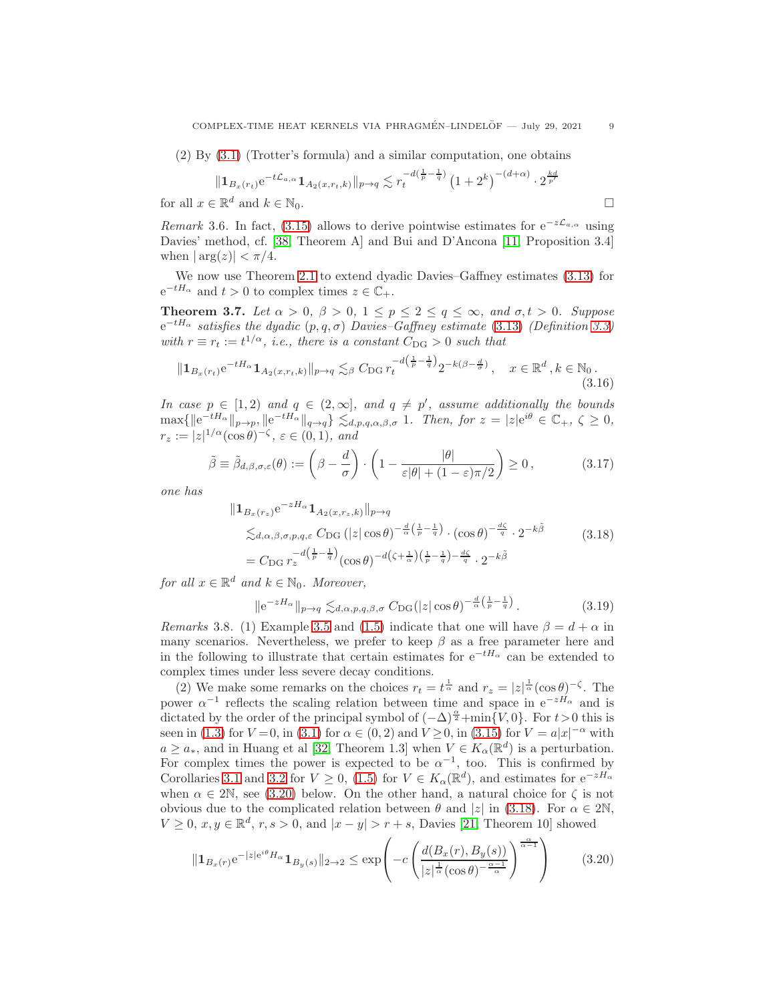(2) By [\(3.1\)](#page-4-1) (Trotter's formula) and a similar computation, one obtains

$$
\|\mathbf{1}_{B_x(r_t)}e^{-t\mathcal{L}_{a,\alpha}}\mathbf{1}_{A_2(x,r_t,k)}\|_{p\to q} \lesssim r_t^{-d(\frac{1}{p}-\frac{1}{q})} \left(1+2^k\right)^{-(d+\alpha)} \cdot 2^{\frac{kd}{p'}}
$$

for all  $x \in \mathbb{R}^d$  and  $k \in \mathbb{N}_0$ .

Remark 3.6. In fact, [\(3.15\)](#page-7-0) allows to derive pointwise estimates for  $e^{-z\mathcal{L}_{a,\alpha}}$  using Davies' method, cf. [\[38,](#page-19-5) Theorem A] and Bui and D'Ancona [\[11,](#page-18-11) Proposition 3.4] when  $|\arg(z)| < \pi/4$ .

We now use Theorem [2.1](#page-2-4) to extend dyadic Davies–Gaffney estimates [\(3.13\)](#page-6-1) for  $e^{-tH_{\alpha}}$  and  $t > 0$  to complex times  $z \in \mathbb{C}_{+}$ .

<span id="page-8-1"></span>**Theorem 3.7.** Let  $\alpha > 0$ ,  $\beta > 0$ ,  $1 \le p \le 2 \le q \le \infty$ , and  $\sigma, t > 0$ . Suppose  $e^{-tH_{\alpha}}$  satisfies the dyadic  $(p, q, \sigma)$  Davies–Gaffney estimate [\(3.13\)](#page-6-1) (Definition [3.3\)](#page-6-0) with  $r \equiv r_t := t^{1/\alpha}$ , i.e., there is a constant  $C_{\text{DG}} > 0$  such that

$$
\|\mathbf{1}_{B_x(r_t)}e^{-tH_\alpha}\mathbf{1}_{A_2(x,r_t,k)}\|_{p\to q} \lesssim_\beta C_{\text{DG}} r_t^{-d\left(\frac{1}{p}-\frac{1}{q}\right)} 2^{-k(\beta-\frac{d}{\sigma})}, \quad x \in \mathbb{R}^d, k \in \mathbb{N}_0. \tag{3.16}
$$

In case  $p \in [1,2)$  and  $q \in (2,\infty]$ , and  $q \neq p'$ , assume additionally the bounds  $\max\{\|e^{-tH_{\alpha}}\|_{p\to p}, \|e^{-tH_{\alpha}}\|_{q\to q}\}\lesssim_{d,p,q,\alpha,\beta,\sigma} 1.$  Then, for  $z=|z|e^{i\theta}\in\mathbb{C}_+$ ,  $\zeta\geq 0$ ,  $r_z := |z|^{1/\alpha} (\cos \theta)^{-\zeta}, \, \varepsilon \in (0,1), \, \text{and}$ 

$$
\tilde{\beta} \equiv \tilde{\beta}_{d,\beta,\sigma,\varepsilon}(\theta) := \left(\beta - \frac{d}{\sigma}\right) \cdot \left(1 - \frac{|\theta|}{\varepsilon|\theta| + (1 - \varepsilon)\pi/2}\right) \ge 0, \tag{3.17}
$$

one has

$$
\begin{split} \|1_{B_x(r_z)} e^{-zH_{\alpha}} 1_{A_2(x,r_z,k)}\|_{p \to q} \\ \lesssim_{d,\alpha,\beta,\sigma,p,q,\varepsilon} C_{\text{DG}} \left( |z| \cos \theta \right)^{-\frac{d}{\alpha} \left( \frac{1}{p} - \frac{1}{q} \right)} \cdot \left( \cos \theta \right)^{-\frac{d\zeta}{q}} \cdot 2^{-k\tilde{\beta}} \\ = C_{\text{DG}} r_z^{-d \left( \frac{1}{p} - \frac{1}{q} \right)} \left( \cos \theta \right)^{-d \left( \zeta + \frac{1}{\alpha} \right) \left( \frac{1}{p} - \frac{1}{q} \right) - \frac{d\zeta}{q}} \cdot 2^{-k\tilde{\beta}} \end{split} \tag{3.18}
$$

for all  $x \in \mathbb{R}^d$  and  $k \in \mathbb{N}_0$ . Moreover,

<span id="page-8-3"></span><span id="page-8-2"></span>
$$
\|e^{-zH_{\alpha}}\|_{p\to q} \lesssim_{d,\alpha,p,q,\beta,\sigma} C_{\mathrm{DG}}(|z|\cos\theta)^{-\frac{d}{\alpha}\left(\frac{1}{p}-\frac{1}{q}\right)}.
$$
 (3.19)

Remarks 3.8. (1) Example [3.5](#page-7-1) and [\(1.5\)](#page-1-0) indicate that one will have  $\beta = d + \alpha$  in many scenarios. Nevertheless, we prefer to keep  $\beta$  as a free parameter here and in the following to illustrate that certain estimates for  $e^{-tH_{\alpha}}$  can be extended to complex times under less severe decay conditions.

(2) We make some remarks on the choices  $r_t = t^{\frac{1}{\alpha}}$  and  $r_z = |z|^{\frac{1}{\alpha}}(\cos \theta)^{-\zeta}$ . The power  $\alpha^{-1}$  reflects the scaling relation between time and space in  $e^{-zH_{\alpha}}$  and is dictated by the order of the principal symbol of  $(-\Delta)^{\frac{\alpha}{2}} + \min\{V, 0\}$ . For  $t > 0$  this is seen in [\(1.3\)](#page-1-1) for  $V = 0$ , in [\(3.1\)](#page-4-1) for  $\alpha \in (0, 2)$  and  $V \ge 0$ , in [\(3.15\)](#page-7-0) for  $V = a|x|^{-\alpha}$  with  $a \ge a_*$ , and in Huang et al [\[32,](#page-19-25) Theorem 1.3] when  $V \in K_\alpha(\mathbb{R}^d)$  is a perturbation. For complex times the power is expected to be  $\alpha^{-1}$ , too. This is confirmed by Corollaries [3.1](#page-4-0) and [3.2](#page-5-0) for  $V \ge 0$ , [\(1.5\)](#page-1-0) for  $V \in K_{\alpha}(\mathbb{R}^d)$ , and estimates for  $e^{-zH_{\alpha}}$ when  $\alpha \in 2\mathbb{N}$ , see [\(3.20\)](#page-8-0) below. On the other hand, a natural choice for  $\zeta$  is not obvious due to the complicated relation between  $\theta$  and  $|z|$  in [\(3.18\)](#page-8-2). For  $\alpha \in 2\mathbb{N}$ ,  $V \geq 0$ ,  $x, y \in \mathbb{R}^d$ ,  $r, s > 0$ , and  $|x - y| > r + s$ , Davies [\[21,](#page-19-3) Theorem 10] showed

<span id="page-8-0"></span>
$$
\|\mathbf{1}_{B_x(r)}e^{-|z|e^{i\theta}H_{\alpha}}\mathbf{1}_{B_y(s)}\|_{2\to 2} \le \exp\left(-c\left(\frac{d(B_x(r), B_y(s))}{|z|^{\frac{1}{\alpha}}(\cos\theta)^{-\frac{\alpha-1}{\alpha}}}\right)^{\frac{\alpha}{\alpha-1}}\right) \tag{3.20}
$$

<span id="page-8-4"></span>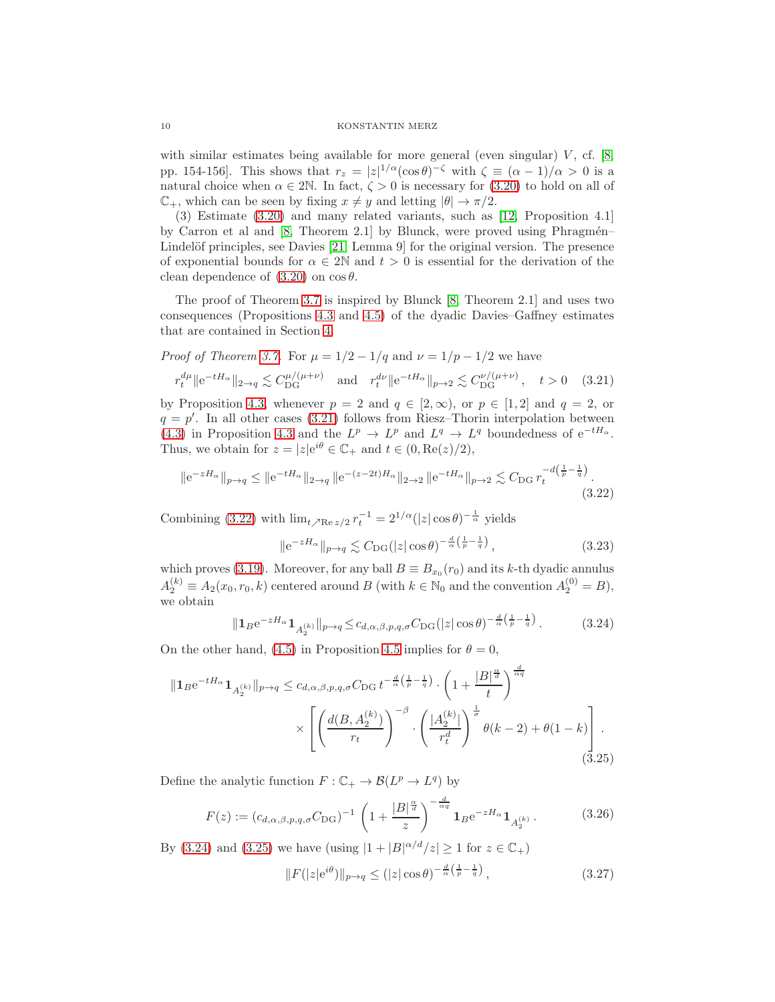with similar estimates being available for more general (even singular)  $V$ , cf. [\[8,](#page-18-6) pp. 154-156]. This shows that  $r_z = |z|^{1/\alpha} (\cos \theta)^{-\zeta}$  with  $\zeta \equiv (\alpha - 1)/\alpha > 0$  is a natural choice when  $\alpha \in 2\mathbb{N}$ . In fact,  $\zeta > 0$  is necessary for [\(3.20\)](#page-8-0) to hold on all of  $\mathbb{C}_+$ , which can be seen by fixing  $x \neq y$  and letting  $|\theta| \to \pi/2$ .

(3) Estimate [\(3.20\)](#page-8-0) and many related variants, such as [\[12,](#page-18-7) Proposition 4.1] by Carron et al and  $[8,$  Theorem 2.1 $]$  by Blunck, were proved using Phragmén– Lindelöf principles, see Davies  $[21, \text{Lemma 9}]$  for the original version. The presence of exponential bounds for  $\alpha \in 2\mathbb{N}$  and  $t > 0$  is essential for the derivation of the clean dependence of  $(3.20)$  on  $\cos \theta$ .

The proof of Theorem [3.7](#page-8-1) is inspired by Blunck [\[8,](#page-18-6) Theorem 2.1] and uses two consequences (Propositions [4.3](#page-13-1) and [4.5\)](#page-14-0) of the dyadic Davies–Gaffney estimates that are contained in Section [4.](#page-13-0)

*Proof of Theorem 3.7.* For 
$$
\mu = 1/2 - 1/q
$$
 and  $\nu = 1/p - 1/2$  we have  
\n $r_t^{d\mu} ||e^{-tH_\alpha}||_{2 \to q} \lesssim C_{\text{DG}}^{\mu/(\mu+\nu)}$  and  $r_t^{d\nu} ||e^{-tH_\alpha}||_{p \to 2} \lesssim C_{\text{DG}}^{\nu/(\mu+\nu)}$ ,  $t > 0$  (3.21)

by Proposition [4.3,](#page-13-1) whenever  $p = 2$  and  $q \in [2, \infty)$ , or  $p \in [1, 2]$  and  $q = 2$ , or  $q = p'$ . In all other cases [\(3.21\)](#page-9-0) follows from Riesz-Thorin interpolation between [\(4.3\)](#page-13-2) in Proposition [4.3](#page-13-1) and the  $L^p \to L^p$  and  $L^q \to L^q$  boundedness of  $e^{-tH_\alpha}$ . Thus, we obtain for  $z = |z|e^{i\theta} \in \mathbb{C}_+$  and  $t \in (0, \text{Re}(z)/2)$ ,

$$
\|e^{-zH_{\alpha}}\|_{p\to q} \le \|e^{-tH_{\alpha}}\|_{2\to q} \|e^{-(z-2t)H_{\alpha}}\|_{2\to 2} \|e^{-tH_{\alpha}}\|_{p\to 2} \lesssim C_{\text{DG}} r_t^{-d(\frac{1}{p}-\frac{1}{q})}.
$$
\n(3.22)

Combining [\(3.22\)](#page-9-1) with  $\lim_{t \nearrow \text{Re } z/2} r_t^{-1} = 2^{1/\alpha} (|z| \cos \theta)^{-\frac{1}{\alpha}}$  yields

<span id="page-9-2"></span><span id="page-9-1"></span><span id="page-9-0"></span>
$$
\|e^{-zH_{\alpha}}\|_{p\to q} \lesssim C_{DG}(|z|\cos\theta)^{-\frac{d}{\alpha}\left(\frac{1}{p}-\frac{1}{q}\right)},\tag{3.23}
$$

which proves [\(3.19\)](#page-8-3). Moreover, for any ball  $B \equiv B_{x_0}(r_0)$  and its k-th dyadic annulus  $A_2^{(k)} \equiv A_2(x_0, r_0, k)$  centered around B (with  $k \in \mathbb{N}_0$  and the convention  $A_2^{(0)} = B$ ), we obtain

$$
\|1_B e^{-zH_{\alpha}} 1_{A_2^{(k)}}\|_{p \to q} \leq c_{d,\alpha,\beta,p,q,\sigma} C_{\text{DG}}(|z| \cos \theta)^{-\frac{d}{\alpha}\left(\frac{1}{p} - \frac{1}{q}\right)}.
$$
 (3.24)

On the other hand, [\(4.5\)](#page-14-1) in Proposition [4.5](#page-14-0) implies for  $\theta = 0$ ,

$$
\|1_{B}e^{-tH_{\alpha}}1_{A_{2}^{(k)}}\|_{p\to q} \leq c_{d,\alpha,\beta,p,q,\sigma}C_{\text{DG}}t^{-\frac{d}{\alpha}\left(\frac{1}{p}-\frac{1}{q}\right)} \cdot \left(1+\frac{|B|^{\frac{\alpha}{d}}}{t}\right)^{\frac{d}{\alpha q}} \times \left[\left(\frac{d(B,A_{2}^{(k)})}{r_{t}}\right)^{-\beta} \cdot \left(\frac{|A_{2}^{(k)}|}{r_{t}^{d}}\right)^{\frac{1}{\sigma}}\theta(k-2)+\theta(1-k)\right].
$$
\n(3.25)

Define the analytic function  $F: \mathbb{C}_+ \to \mathcal{B}(L^p \to L^q)$  by

$$
F(z) := (c_{d,\alpha,\beta,p,q,\sigma} C_{\text{DG}})^{-1} \left( 1 + \frac{|B|^{\frac{\alpha}{d}}}{z} \right)^{-\frac{d}{\alpha q}} \mathbf{1}_B e^{-zH_{\alpha}} \mathbf{1}_{A_2^{(k)}}.
$$
 (3.26)

By [\(3.24\)](#page-9-2) and [\(3.25\)](#page-9-3) we have (using  $|1 + |B|^{\alpha/d}/z| \ge 1$  for  $z \in \mathbb{C}_+$ )

<span id="page-9-4"></span><span id="page-9-3"></span>
$$
||F(|z|e^{i\theta})||_{p\to q} \le (|z|\cos\theta)^{-\frac{d}{\alpha}\left(\frac{1}{p}-\frac{1}{q}\right)},
$$
\n(3.27)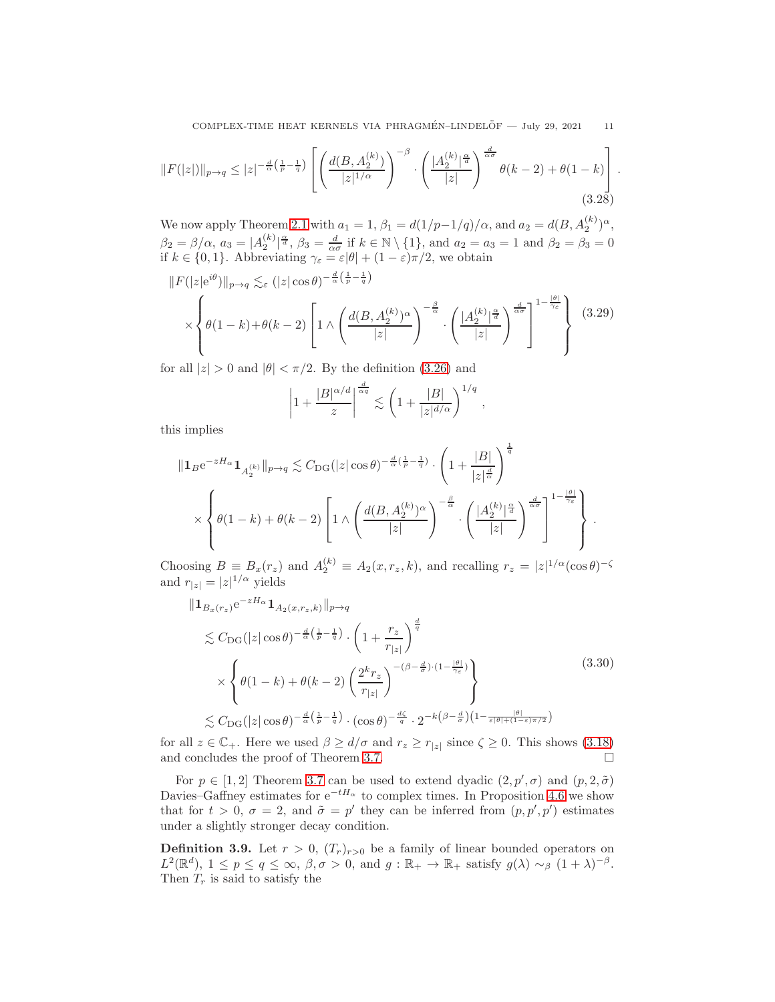COMPLEX-TIME HEAT KERNELS VIA PHRAGMÉN-LINDELÖF  $-$  July 29, 2021 11

$$
||F(|z|)||_{p \to q} \le |z|^{-\frac{d}{\alpha}\left(\frac{1}{p} - \frac{1}{q}\right)} \left[ \left( \frac{d(B, A_2^{(k)})}{|z|^{1/\alpha}} \right)^{-\beta} \cdot \left( \frac{|A_2^{(k)}|^{\frac{\alpha}{d}}}{|z|} \right)^{\frac{d}{\alpha\sigma}} \theta(k-2) + \theta(1-k) \right].
$$
\n(3.28)

We now apply Theorem [2.1](#page-2-4) with  $a_1 = 1$ ,  $\beta_1 = d(1/p-1/q)/\alpha$ , and  $a_2 = d(B, A_2^{(k)})^{\alpha}$ , 2  $\beta_2 = \beta/\alpha, \ a_3 = |A_2^{(k)}|^{\frac{\alpha}{d}}, \ \beta_3 = \frac{d}{\alpha \sigma} \text{ if } k \in \mathbb{N} \setminus \{1\}, \text{ and } a_2 = a_3 = 1 \text{ and } \beta_2 = \beta_3 = 0$ if  $k \in \{0, 1\}$ . Abbreviating  $\gamma_{\varepsilon} = \varepsilon |\theta| + (1 - \varepsilon) \pi/2$ , we obtain

$$
||F(|z|e^{i\theta})||_{p\to q} \lesssim_{\varepsilon} (|z|\cos\theta)^{-\frac{d}{\alpha}(\frac{1}{p}-\frac{1}{q})}
$$

$$
\times \left\{ \theta(1-k) + \theta(k-2) \left[ 1 \wedge \left( \frac{d(B,A_2^{(k)})^{\alpha}}{|z|} \right)^{-\frac{\beta}{\alpha}} \cdot \left( \frac{|A_2^{(k)}|^{\frac{\alpha}{d}}}{|z|} \right)^{\frac{d}{\alpha\sigma}} \right]^{1-\frac{|\theta|}{\gamma_{\varepsilon}}}
$$
(3.29)

for all  $|z| > 0$  and  $|\theta| < \pi/2$ . By the definition [\(3.26\)](#page-9-4) and

$$
\left|1+\frac{|B|^{\alpha/d}}{z}\right|^{\frac{d}{\alpha q}} \lesssim \left(1+\frac{|B|}{|z|^{d/\alpha}}\right)^{1/q},
$$

this implies

$$
\begin{split} \|1_{B}\mathrm{e}^{-zH_{\alpha}}1_{A_{2}^{(k)}}\|_{p\to q} &\lesssim C_{\mathrm{DG}}(|z|\cos\theta)^{-\frac{d}{\alpha}(\frac{1}{p}-\frac{1}{q})}\cdot\left(1+\frac{|B|}{|z|^{\frac{d}{\alpha}}}\right)^{\frac{1}{q}}\\ &\times\left\{\theta(1-k)+\theta(k-2)\left[1\wedge\left(\frac{d(B,A_{2}^{(k)})^{\alpha}}{|z|}\right)^{-\frac{\beta}{\alpha}}\cdot\left(\frac{|A_{2}^{(k)}|^{\frac{\alpha}{d}}}{|z|}\right)^{\frac{d}{\alpha\sigma}}\right]^{1-\frac{|\theta|}{\gamma_{\varepsilon}}}\right\}\,. \end{split}
$$

Choosing  $B \equiv B_x(r_z)$  and  $A_2^{(k)} \equiv A_2(x, r_z, k)$ , and recalling  $r_z = |z|^{1/\alpha} (\cos \theta)^{-\zeta}$ and  $r_{|z|} = |z|^{1/\alpha}$  yields

$$
\| \mathbf{1}_{B_x(r_z)} e^{-zH_{\alpha}} \mathbf{1}_{A_2(x,r_z,k)} \|_{p \to q}
$$
  
\n
$$
\lesssim C_{\text{DG}}(|z| \cos \theta)^{-\frac{d}{\alpha}(\frac{1}{p} - \frac{1}{q})} \cdot \left(1 + \frac{r_z}{r_{|z|}}\right)^{\frac{d}{q}}
$$
  
\n
$$
\times \left\{ \theta(1 - k) + \theta(k - 2) \left(\frac{2^k r_z}{r_{|z|}}\right)^{-(\beta - \frac{d}{\sigma}) \cdot (1 - \frac{|\theta|}{\gamma_{\varepsilon}})} \right\}
$$
  
\n
$$
\lesssim C_{\text{DG}}(|z| \cos \theta)^{-\frac{d}{\alpha}(\frac{1}{p} - \frac{1}{q})} \cdot (\cos \theta)^{-\frac{d\zeta}{q}} \cdot 2^{-k(\beta - \frac{d}{\sigma})(1 - \frac{|\theta|}{\varepsilon|\theta| + (1 - \varepsilon)\pi/2})}
$$
\n(3.30)

for all  $z \in \mathbb{C}_+$ . Here we used  $\beta \ge d/\sigma$  and  $r_z \ge r_{|z|}$  since  $\zeta \ge 0$ . This shows [\(3.18\)](#page-8-2) and concludes the proof of Theorem [3.7.](#page-8-1)  $\Box$ 

For  $p \in [1,2]$  Theorem [3.7](#page-8-1) can be used to extend dyadic  $(2, p', \sigma)$  and  $(p, 2, \tilde{\sigma})$ Davies–Gaffney estimates for  $e^{-tH_{\alpha}}$  to complex times. In Proposition [4.6](#page-16-0) we show that for  $t > 0$ ,  $\sigma = 2$ , and  $\tilde{\sigma} = p'$  they can be inferred from  $(p, p', p')$  estimates under a slightly stronger decay condition.

<span id="page-10-0"></span>**Definition 3.9.** Let  $r > 0$ ,  $(T_r)_{r>0}$  be a family of linear bounded operators on  $L^2(\mathbb{R}^d)$ ,  $1 \leq p \leq q \leq \infty$ ,  $\beta, \sigma > 0$ , and  $g : \mathbb{R}_+ \to \mathbb{R}_+$  satisfy  $g(\lambda) \sim_\beta (1 + \lambda)^{-\beta}$ . Then  $T_r$  is said to satisfy the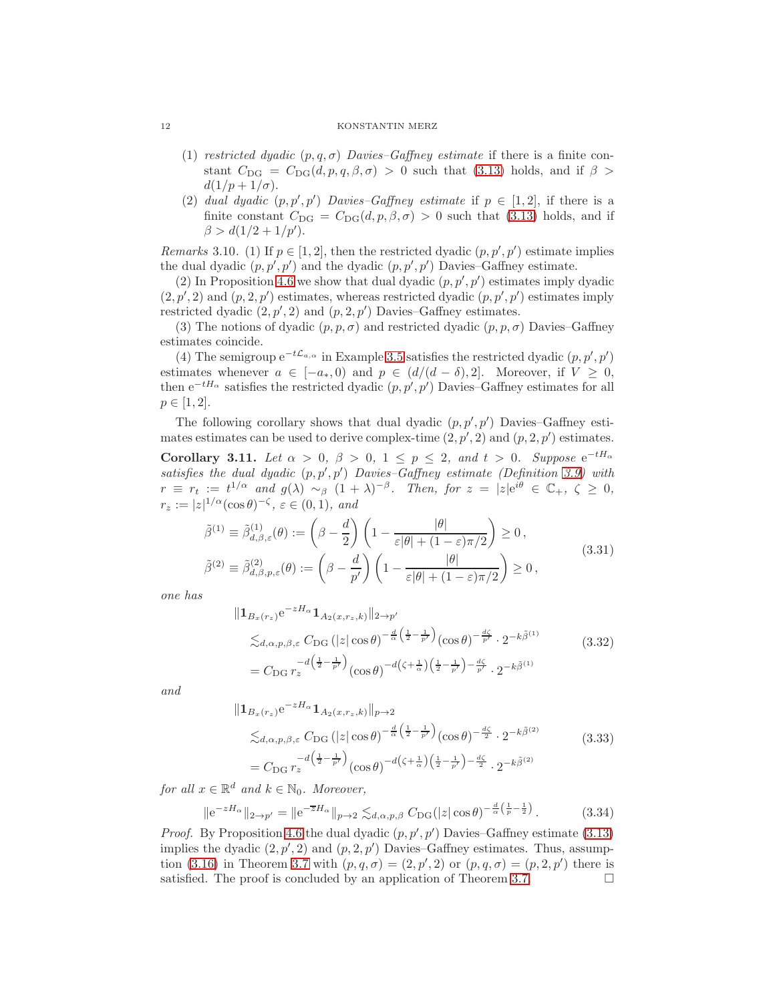- (1) restricted dyadic  $(p, q, \sigma)$  Davies–Gaffney estimate if there is a finite constant  $C_{\text{DG}} = C_{\text{DG}}(d, p, q, \beta, \sigma) > 0$  such that [\(3.13\)](#page-6-1) holds, and if  $\beta >$  $d(1/p+1/\sigma).$
- (2) dual dyadic  $(p, p', p')$  Davies-Gaffney estimate if  $p \in [1, 2]$ , if there is a finite constant  $C_{\text{DG}} = C_{\text{DG}}(d, p, \beta, \sigma) > 0$  such that [\(3.13\)](#page-6-1) holds, and if  $\beta > d(1/2 + 1/p').$

*Remarks* 3.10. (1) If  $p \in [1,2]$ , then the restricted dyadic  $(p, p', p')$  estimate implies the dual dyadic  $(p, p', p')$  and the dyadic  $(p, p', p')$  Davies–Gaffney estimate.

(2) In Proposition [4.6](#page-16-0) we show that dual dyadic  $(p, p', p')$  estimates imply dyadic  $(2, p', 2)$  and  $(p, 2, p')$  estimates, whereas restricted dyadic  $(p, p', p')$  estimates imply restricted dyadic  $(2, p', 2)$  and  $(p, 2, p')$  Davies-Gaffney estimates.

(3) The notions of dyadic  $(p, p, \sigma)$  and restricted dyadic  $(p, p, \sigma)$  Davies–Gaffney estimates coincide.

(4) The semigroup  $e^{-t\mathcal{L}_{a,\alpha}}$  in Example [3.5](#page-7-1) satisfies the restricted dyadic  $(p, p', p')$ estimates whenever  $a \in [-a_*, 0)$  and  $p \in (d/(d - \delta), 2]$ . Moreover, if  $V \geq 0$ , then  $e^{-tH_{\alpha}}$  satisfies the restricted dyadic  $(p, p', p')$  Davies–Gaffney estimates for all  $p \in [1, 2].$ 

<span id="page-11-0"></span>The following corollary shows that dual dyadic  $(p, p', p')$  Davies–Gaffney estimates estimates can be used to derive complex-time  $(2, p', 2)$  and  $(p, 2, p')$  estimates. **Corollary 3.11.** Let  $\alpha > 0$ ,  $\beta > 0$ ,  $1 \le p \le 2$ , and  $t > 0$ . Suppose  $e^{-tH_{\alpha}}$ satisfies the dual dyadic  $(p, p', p')$  Davies-Gaffney estimate (Definition [3.9\)](#page-10-0) with  $r \equiv r_t := t^{1/\alpha}$  and  $g(\lambda) \sim_\beta (1+\lambda)^{-\beta}$ . Then, for  $z = |z|e^{i\theta} \in \mathbb{C}_+$ ,  $\zeta \geq 0$ ,  $r_z := |z|^{1/\alpha} (\cos \theta)^{-\zeta}, \, \varepsilon \in (0,1), \, \text{and}$ 

$$
\tilde{\beta}^{(1)} \equiv \tilde{\beta}_{d,\beta,\varepsilon}^{(1)}(\theta) := \left(\beta - \frac{d}{2}\right) \left(1 - \frac{|\theta|}{\varepsilon|\theta| + (1 - \varepsilon)\pi/2}\right) \ge 0,
$$
\n
$$
\tilde{\beta}^{(2)} \equiv \tilde{\beta}_{d,\beta,p,\varepsilon}^{(2)}(\theta) := \left(\beta - \frac{d}{p'}\right) \left(1 - \frac{|\theta|}{\varepsilon|\theta| + (1 - \varepsilon)\pi/2}\right) \ge 0,
$$
\n(3.31)

one has

<span id="page-11-2"></span>
$$
\begin{split} \|\mathbf{1}_{B_x(r_z)} e^{-zH_\alpha} \mathbf{1}_{A_2(x,r_z,k)}\|_{2\to p'}\\ \lesssim_{d,\alpha,p,\beta,\varepsilon} C_{\text{DG}} \left( |z| \cos \theta \right)^{-\frac{d}{\alpha} \left( \frac{1}{2} - \frac{1}{p'} \right)} (\cos \theta)^{-\frac{d\zeta}{p'}} \cdot 2^{-k\tilde{\beta}^{(1)}}\\ = C_{\text{DG}} r_z^{-d \left( \frac{1}{2} - \frac{1}{p'} \right)} (\cos \theta)^{-d \left( \zeta + \frac{1}{\alpha} \right) \left( \frac{1}{2} - \frac{1}{p'} \right) - \frac{d\zeta}{p'}} \cdot 2^{-k\tilde{\beta}^{(1)}} \end{split} \tag{3.32}
$$

and

<span id="page-11-3"></span><span id="page-11-1"></span>
$$
\| \mathbf{1}_{B_x(r_z)} e^{-zH_\alpha} \mathbf{1}_{A_2(x,r_z,k)} \|_{p \to 2}
$$
  
\n
$$
\lesssim_{d,\alpha,p,\beta,\varepsilon} C_{\text{DG}} (|z| \cos \theta)^{-\frac{d}{\alpha} \left(\frac{1}{2} - \frac{1}{p'}\right)} (\cos \theta)^{-\frac{d\zeta}{2}} \cdot 2^{-k\tilde{\beta}^{(2)}}
$$
  
\n
$$
= C_{\text{DG}} r_z^{-d\left(\frac{1}{2} - \frac{1}{p'}\right)} (\cos \theta)^{-d\left(\zeta + \frac{1}{\alpha}\right)\left(\frac{1}{2} - \frac{1}{p'}\right) - \frac{d\zeta}{2}} \cdot 2^{-k\tilde{\beta}^{(2)}}
$$
\n(3.33)

for all  $x \in \mathbb{R}^d$  and  $k \in \mathbb{N}_0$ . Moreover,

$$
\|e^{-zH_{\alpha}}\|_{2\to p'} = \|e^{-\overline{z}H_{\alpha}}\|_{p\to 2} \lesssim_{d,\alpha,p,\beta} C_{\text{DG}}(|z|\cos\theta)^{-\frac{d}{\alpha}\left(\frac{1}{p}-\frac{1}{2}\right)}.
$$
 (3.34)

*Proof.* By Proposition [4.6](#page-16-0) the dual dyadic  $(p, p', p')$  Davies–Gaffney estimate [\(3.13\)](#page-6-1) implies the dyadic  $(2, p', 2)$  and  $(p, 2, p')$  Davies–Gaffney estimates. Thus, assump-tion [\(3.16\)](#page-8-4) in Theorem [3.7](#page-8-1) with  $(p, q, \sigma) = (2, p', 2)$  or  $(p, q, \sigma) = (p, 2, p')$  there is satisfied. The proof is concluded by an application of Theorem [3.7.](#page-8-1)  $\Box$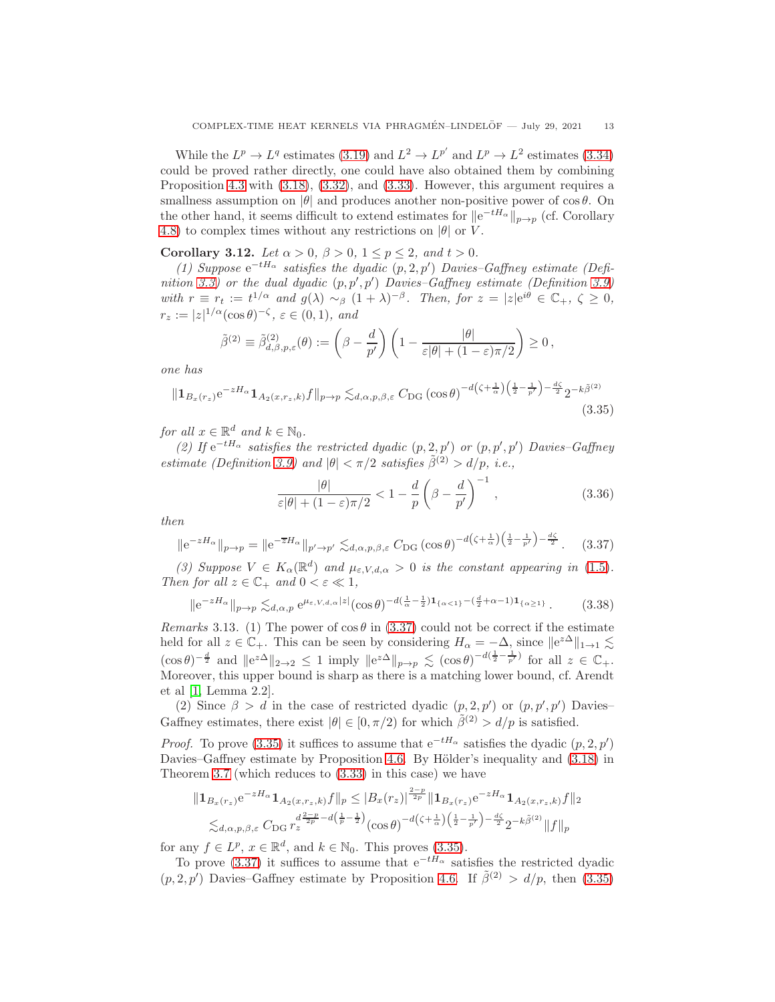While the  $L^p \to L^q$  estimates [\(3.19\)](#page-8-3) and  $L^2 \to L^{p'}$  and  $L^p \to L^2$  estimates [\(3.34\)](#page-11-1) could be proved rather directly, one could have also obtained them by combining Proposition [4.3](#page-13-1) with [\(3.18\)](#page-8-2), [\(3.32\)](#page-11-2), and [\(3.33\)](#page-11-3). However, this argument requires a smallness assumption on  $|\theta|$  and produces another non-positive power of cos  $\theta$ . On the other hand, it seems difficult to extend estimates for  $||e^{-tH_{\alpha}}||_{p\to p}$  (cf. Corollary [4.8\)](#page-18-13) to complex times without any restrictions on  $|\theta|$  or V.

<span id="page-12-0"></span>Corollary 3.12. Let  $\alpha > 0$ ,  $\beta > 0$ ,  $1 \le p \le 2$ , and  $t > 0$ .

(1) Suppose  $e^{-tH_{\alpha}}$  satisfies the dyadic  $(p, 2, p')$  Davies–Gaffney estimate (Defi-nition [3.3\)](#page-6-0) or the dual dyadic  $(p, p', p')$  Davies-Gaffney estimate (Definition [3.9\)](#page-10-0) with  $r \equiv r_t := t^{1/\alpha}$  and  $g(\lambda) \sim_\beta (1+\lambda)^{-\beta}$ . Then, for  $z = |z|e^{i\theta} \in \mathbb{C}_+$ ,  $\zeta \geq 0$ ,  $r_z := |z|^{1/\alpha} (\cos \theta)^{-\zeta}, \, \varepsilon \in (0,1), \, \text{and}$ 

$$
\tilde{\beta}^{(2)} \equiv \tilde{\beta}_{d,\beta,p,\varepsilon}^{(2)}(\theta) := \left(\beta - \frac{d}{p'}\right) \left(1 - \frac{|\theta|}{\varepsilon|\theta| + (1 - \varepsilon)\pi/2}\right) \ge 0,
$$

one has

$$
\|\mathbf{1}_{B_x(r_z)}e^{-zH_{\alpha}}\mathbf{1}_{A_2(x,r_z,k)}f\|_{p\to p} \lesssim_{d,\alpha,p,\beta,\varepsilon} C_{\text{DG}}\left(\cos\theta\right)^{-d\left(\zeta+\frac{1}{\alpha}\right)\left(\frac{1}{2}-\frac{1}{p'}\right)-\frac{d\zeta}{2}}2^{-k\tilde{\beta}^{(2)}}\tag{3.35}
$$

for all  $x \in \mathbb{R}^d$  and  $k \in \mathbb{N}_0$ .

(2) If  $e^{-tH_{\alpha}}$  satisfies the restricted dyadic  $(p, 2, p')$  or  $(p, p', p')$  Davies-Gaffney estimate (Definition [3.9\)](#page-10-0) and  $|\theta| < \pi/2$  satisfies  $\tilde{\beta}^{(2)} > d/p$ , i.e.,

<span id="page-12-3"></span><span id="page-12-2"></span><span id="page-12-1"></span>
$$
\frac{|\theta|}{\varepsilon|\theta| + (1 - \varepsilon)\pi/2} < 1 - \frac{d}{p} \left(\beta - \frac{d}{p'}\right)^{-1},\tag{3.36}
$$

then

$$
\|e^{-zH_{\alpha}}\|_{p\to p} = \|e^{-\overline{z}H_{\alpha}}\|_{p'\to p'} \lesssim_{d,\alpha,p,\beta,\varepsilon} C_{\text{DG}}\left(\cos\theta\right)^{-d\left(\zeta+\frac{1}{\alpha}\right)\left(\frac{1}{2}-\frac{1}{p'}\right)-\frac{d\zeta}{2}}.\tag{3.37}
$$

(3) Suppose  $V \in K_{\alpha}(\mathbb{R}^d)$  and  $\mu_{\varepsilon,V,d,\alpha} > 0$  is the constant appearing in [\(1.5\)](#page-1-0). Then for all  $z \in \mathbb{C}_+$  and  $0 < \varepsilon \ll 1$ ,

$$
\|e^{-zH_{\alpha}}\|_{p\to p} \lesssim_{d,\alpha,p} e^{\mu_{\varepsilon,V,d,\alpha}|z|} (\cos\theta)^{-d(\frac{1}{\alpha}-\frac{1}{2})\mathbf{1}_{\{\alpha<1\}}-(\frac{d}{2}+\alpha-1)\mathbf{1}_{\{\alpha\geq1\}}}.
$$
 (3.38)

Remarks 3.13. (1) The power of  $\cos \theta$  in [\(3.37\)](#page-12-1) could not be correct if the estimate held for all  $z \in \mathbb{C}_+$ . This can be seen by considering  $H_\alpha = -\Delta$ , since  $||e^{z\Delta}||_{1\to 1} \lesssim$  $(\cos \theta)^{-\frac{d}{2}}$  and  $||e^{z\Delta}||_{2\to 2} \leq 1$  imply  $||e^{z\Delta}||_{p\to p} \lesssim (\cos \theta)^{-d(\frac{1}{2}-\frac{1}{p'})}$  for all  $z \in \mathbb{C}_+$ . Moreover, this upper bound is sharp as there is a matching lower bound, cf. Arendt et al [\[1,](#page-18-14) Lemma 2.2].

(2) Since  $\beta > d$  in the case of restricted dyadic  $(p, 2, p')$  or  $(p, p', p')$  Davies-Gaffney estimates, there exist  $|\theta| \in [0, \pi/2)$  for which  $\tilde{\beta}^{(2)} > d/p$  is satisfied.

*Proof.* To prove [\(3.35\)](#page-12-2) it suffices to assume that  $e^{-tH_{\alpha}}$  satisfies the dyadic  $(p, 2, p')$ Davies–Gaffney estimate by Proposition [4.6.](#page-16-0) By Hölder's inequality and  $(3.18)$  in Theorem [3.7](#page-8-1) (which reduces to [\(3.33\)](#page-11-3) in this case) we have

$$
||\mathbf{1}_{B_x(r_z)}e^{-zH_{\alpha}}\mathbf{1}_{A_2(x,r_z,k)}f||_p \leq |B_x(r_z)|^{\frac{2-p}{2p}}||\mathbf{1}_{B_x(r_z)}e^{-zH_{\alpha}}\mathbf{1}_{A_2(x,r_z,k)}f||_2
$$
  

$$
\lesssim_{d,\alpha,p,\beta,\varepsilon} C_{\text{DG}} r_z^{\frac{d^2-p}{2}-d\left(\frac{1}{p}-\frac{1}{2}\right)}(\cos\theta)^{-d\left(\zeta+\frac{1}{\alpha}\right)\left(\frac{1}{2}-\frac{1}{p'}\right)-\frac{d\zeta}{2}} 2^{-k\tilde{\beta}^{(2)}}||f||_p
$$

for any  $f \in L^p$ ,  $x \in \mathbb{R}^d$ , and  $k \in \mathbb{N}_0$ . This proves [\(3.35\)](#page-12-2).

To prove [\(3.37\)](#page-12-1) it suffices to assume that  $e^{-tH_{\alpha}}$  satisfies the restricted dyadic  $(p, 2, p')$  Davies–Gaffney estimate by Proposition [4.6.](#page-16-0) If  $\tilde{\beta}^{(2)} > d/p$ , then [\(3.35\)](#page-12-2)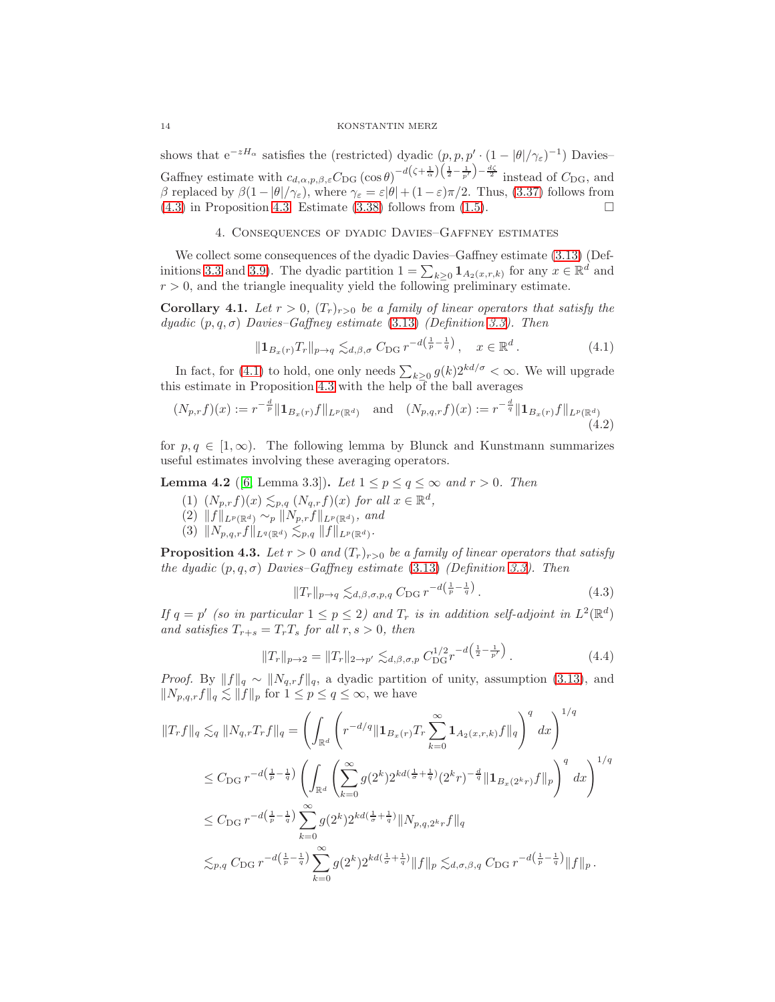shows that  $e^{-zH_{\alpha}}$  satisfies the (restricted) dyadic  $(p, p, p' \cdot (1 - |\theta|/\gamma_{\epsilon})^{-1})$  Davies– Gaffney estimate with  $c_{d,\alpha,p,\beta,\varepsilon}C_{\text{DG}}\left(\cos\theta\right)^{-d\left(\zeta+\frac{1}{\alpha}\right)\left(\frac{1}{2}-\frac{1}{p'}\right)-\frac{d\zeta}{2}}$  instead of  $C_{\text{DG}}$ , and β replaced by  $\beta(1-|\theta|/\gamma_{\varepsilon})$ , where  $\gamma_{\varepsilon} = \varepsilon |\theta| + (1-\varepsilon)\pi/2$ . Thus, [\(3.37\)](#page-12-1) follows from  $(4.3)$  in Proposition [4.3.](#page-13-1) Estimate  $(3.38)$  follows from  $(1.5)$ .

## 4. Consequences of dyadic Davies–Gaffney estimates

<span id="page-13-0"></span>We collect some consequences of the dyadic Davies–Gaffney estimate [\(3.13\)](#page-6-1) (Def-initions [3.3](#page-6-0) and [3.9\)](#page-10-0). The dyadic partition  $1 = \sum_{k\geq 0} \mathbf{1}_{A_2(x,r,k)}$  for any  $x \in \mathbb{R}^d$  and  $r > 0$ , and the triangle inequality yield the following preliminary estimate.

**Corollary 4.1.** Let  $r > 0$ ,  $(T_r)_{r>0}$  be a family of linear operators that satisfy the dyadic  $(p, q, \sigma)$  Davies–Gaffney estimate [\(3.13\)](#page-6-1) (Definition [3.3\)](#page-6-0). Then

<span id="page-13-3"></span>
$$
\|\mathbf{1}_{B_x(r)}T_r\|_{p\to q} \lesssim_{d,\beta,\sigma} C_{\mathrm{DG}} r^{-d\left(\frac{1}{p}-\frac{1}{q}\right)}, \quad x \in \mathbb{R}^d. \tag{4.1}
$$

In fact, for [\(4.1\)](#page-13-3) to hold, one only needs  $\sum_{k\geq 0} g(k)2^{kd/\sigma} < \infty$ . We will upgrade this estimate in Proposition [4.3](#page-13-1) with the help of the ball averages

$$
(N_{p,r}f)(x) := r^{-\frac{d}{p}} \| \mathbf{1}_{B_x(r)} f \|_{L^p(\mathbb{R}^d)} \quad \text{and} \quad (N_{p,q,r}f)(x) := r^{-\frac{d}{q}} \| \mathbf{1}_{B_x(r)} f \|_{L^p(\mathbb{R}^d)} \tag{4.2}
$$

for  $p, q \in [1, \infty)$ . The following lemma by Blunck and Kunstmann summarizes useful estimates involving these averaging operators.

<span id="page-13-5"></span>**Lemma 4.2** ([\[6,](#page-18-5) Lemma 3.3]). Let  $1 \leq p \leq q \leq \infty$  and  $r > 0$ . Then

- (1)  $(N_{p,r}f)(x) \lesssim_{p,q} (N_{q,r}f)(x)$  for all  $x \in \mathbb{R}^d$ ,
- $(2)$   $||f||_{L^p(\mathbb{R}^d)} \sim_p ||N_{p,r}f||_{L^p(\mathbb{R}^d)}$ , and
- $(3) \|N_{p,q,r}f\|_{L^q(\mathbb{R}^d)} \lesssim_{p,q} \|f\|_{L^p(\mathbb{R}^d)}.$

<span id="page-13-1"></span>**Proposition 4.3.** Let  $r > 0$  and  $(T_r)_{r>0}$  be a family of linear operators that satisfy the dyadic  $(p, q, \sigma)$  Davies–Gaffney estimate [\(3.13\)](#page-6-1) (Definition [3.3\)](#page-6-0). Then

<span id="page-13-4"></span><span id="page-13-2"></span>
$$
||T_r||_{p \to q} \lesssim_{d,\beta,\sigma,p,q} C_{\text{DG}} r^{-d\left(\frac{1}{p} - \frac{1}{q}\right)}.
$$
\n
$$
(4.3)
$$

If  $q = p'$  (so in particular  $1 \leq p \leq 2$ ) and  $T_r$  is in addition self-adjoint in  $L^2(\mathbb{R}^d)$ and satisfies  $T_{r+s} = T_rT_s$  for all  $r, s > 0$ , then

$$
||T_r||_{p\to 2} = ||T_r||_{2\to p'} \lesssim_{d,\beta,\sigma,p} C_{\text{DG}}^{1/2} r^{-d\left(\frac{1}{2} - \frac{1}{p'}\right)}.
$$
\n(4.4)

*Proof.* By  $||f||_q \sim ||N_{q,r}f||_q$ , a dyadic partition of unity, assumption [\(3.13\)](#page-6-1), and  $||N_{p,q,r}f||_q \lesssim ||f||_p$  for  $1 \leq p \leq q \leq \infty$ , we have

$$
||T_r f||_q \lesssim_q ||N_{q,r}T_r f||_q = \left( \int_{\mathbb{R}^d} \left( r^{-d/q} || \mathbf{1}_{B_x(r)} T_r \sum_{k=0}^{\infty} \mathbf{1}_{A_2(x,r,k)} f ||_q \right)^q dx \right)^{1/q}
$$
  
\n
$$
\leq C_{\text{DG}} r^{-d\left(\frac{1}{p} - \frac{1}{q}\right)} \left( \int_{\mathbb{R}^d} \left( \sum_{k=0}^{\infty} g(2^k) 2^{kd\left(\frac{1}{\sigma} + \frac{1}{q}\right)} (2^k r)^{-\frac{d}{q}} || \mathbf{1}_{B_x(2^kr)} f ||_p \right)^q dx \right)^{1/q}
$$
  
\n
$$
\leq C_{\text{DG}} r^{-d\left(\frac{1}{p} - \frac{1}{q}\right)} \sum_{k=0}^{\infty} g(2^k) 2^{kd\left(\frac{1}{\sigma} + \frac{1}{q}\right)} ||N_{p,q,2^kr} f||_q
$$
  
\n
$$
\lesssim_{p,q} C_{\text{DG}} r^{-d\left(\frac{1}{p} - \frac{1}{q}\right)} \sum_{k=0}^{\infty} g(2^k) 2^{kd\left(\frac{1}{\sigma} + \frac{1}{q}\right)} ||f||_p \lesssim_{d,\sigma,\beta,q} C_{\text{DG}} r^{-d\left(\frac{1}{p} - \frac{1}{q}\right)} ||f||_p.
$$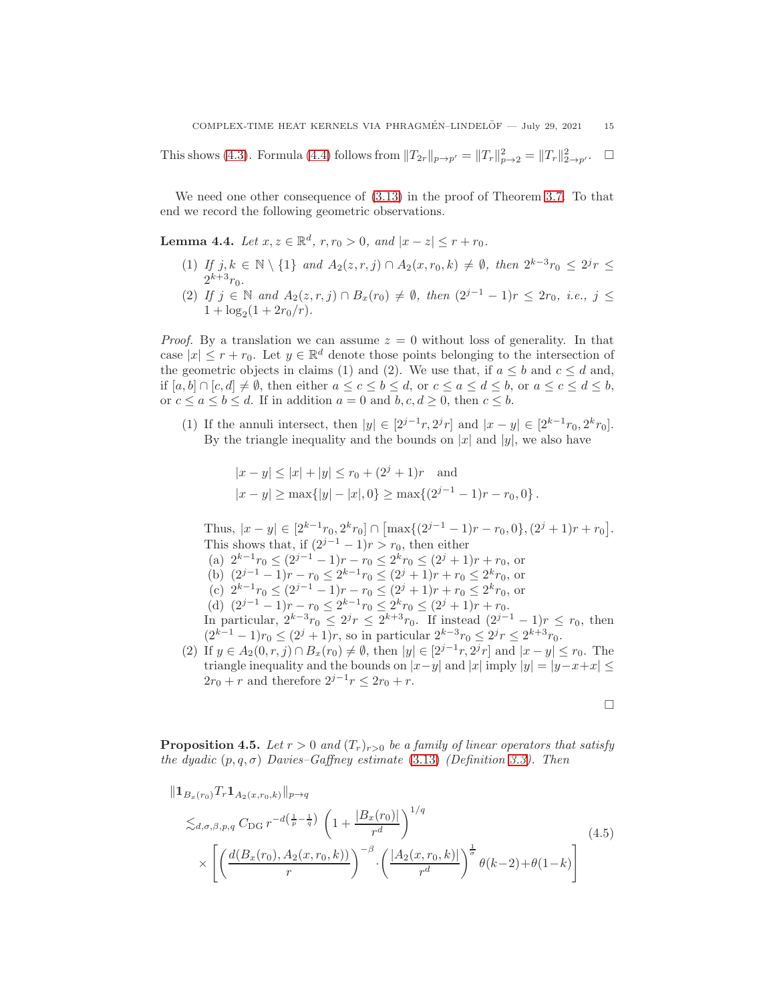This shows [\(4.3\)](#page-13-2). Formula [\(4.4\)](#page-13-4) follows from  $||T_{2r}||_{p\to p'} = ||T_r||_{p\to 2}^2 = ||T_r||_{2\to p'}^2$ .  $\Box$ 

We need one other consequence of [\(3.13\)](#page-6-1) in the proof of Theorem [3.7.](#page-8-1) To that end we record the following geometric observations.

<span id="page-14-2"></span>**Lemma 4.4.** Let  $x, z \in \mathbb{R}^d$ ,  $r, r_0 > 0$ , and  $|x - z| \le r + r_0$ .

- (1) If  $j, k \in \mathbb{N} \setminus \{1\}$  and  $A_2(z, r, j) \cap A_2(x, r_0, k) \neq \emptyset$ , then  $2^{k-3}r_0 \leq 2^{j}r \leq$  $2^{k+3}r_0.$
- (2) If  $j \in \mathbb{N}$  and  $A_2(z, r, j) \cap B_x(r_0) \neq \emptyset$ , then  $(2^{j-1} 1)r \leq 2r_0$ , i.e.,  $j \leq$  $1 + \log_2(1 + 2r_0/r).$

*Proof.* By a translation we can assume  $z = 0$  without loss of generality. In that case  $|x| \leq r + r_0$ . Let  $y \in \mathbb{R}^d$  denote those points belonging to the intersection of the geometric objects in claims (1) and (2). We use that, if  $a \leq b$  and  $c \leq d$  and, if  $[a, b] \cap [c, d] \neq \emptyset$ , then either  $a \leq c \leq b \leq d$ , or  $c \leq a \leq d \leq b$ , or  $a \leq c \leq d \leq b$ , or  $c \le a \le b \le d$ . If in addition  $a = 0$  and  $b, c, d \ge 0$ , then  $c \le b$ .

(1) If the annuli intersect, then  $|y| \in [2^{j-1}r, 2^{j}r]$  and  $|x - y| \in [2^{k-1}r_0, 2^{k}r_0]$ . By the triangle inequality and the bounds on  $|x|$  and  $|y|$ , we also have

$$
|x - y| \le |x| + |y| \le r_0 + (2^j + 1)r
$$
 and  
 $|x - y| \ge \max\{|y| - |x|, 0\} \ge \max\{(2^{j-1} - 1)r - r_0, 0\}.$ 

Thus,  $|x - y| \in [2^{k-1}r_0, 2^kr_0] \cap [\max\{(2^{j-1} - 1)r - r_0, 0\}, (2^j + 1)r + r_0].$ This shows that, if  $(2^{j-1}-1)r > r_0$ , then either (a)  $2^{k-1}r_0 \leq (2^{j-1}-1)r - r_0 \leq 2^k r_0 \leq (2^j+1)r + r_0$ , or (b)  $(2^{j-1} - 1)r - r_0 \le 2^{k-1}r_0 \le (2^j + 1)r + r_0 \le 2^k r_0$ , or (c)  $2^{k-1}r_0 \leq (2^{j-1}-1)r - r_0 \leq (2^j+1)r + r_0 \leq 2^k r_0$ , or (d)  $(2^{j-1} - 1)r - r_0 \le 2^{k-1}r_0 \le 2^k r_0 \le (2^j + 1)r + r_0$ . In particular,  $2^{k-3}r_0 \leq 2^{j}r \leq 2^{k+3}r_0$ . If instead  $(2^{j-1}-1)r \leq r_0$ , then  $(2^{k-1}-1)r_0 \leq (2^j+1)r$ , so in particular  $2^{k-3}r_0 \leq 2^j r \leq 2^{k+3}r_0$ . (2) If  $y \in A_2(0, r, j) \cap B_x(r_0) \neq \emptyset$ , then  $|y| \in [2^{j-1}r, 2^{j}r]$  and  $|x - y| \leq r_0$ . The

triangle inequality and the bounds on  $|x-y|$  and  $|x|$  imply  $|y| = |y-x+x| \leq$  $2r_0 + r$  and therefore  $2^{j-1}r \leq 2r_0 + r$ .

<span id="page-14-1"></span> $\Box$ 

<span id="page-14-0"></span>**Proposition 4.5.** Let  $r > 0$  and  $(T_r)_{r>0}$  be a family of linear operators that satisfy the dyadic  $(p, q, \sigma)$  Davies–Gaffney estimate [\(3.13\)](#page-6-1) (Definition [3.3\)](#page-6-0). Then

$$
\| \mathbf{1}_{B_x(r_0)} T_r \mathbf{1}_{A_2(x,r_0,k)} \|_{p \to q} \n\lesssim_{d,\sigma,\beta,p,q} C_{\text{DG}} r^{-d(\frac{1}{p} - \frac{1}{q})} \left( 1 + \frac{|B_x(r_0)|}{r^d} \right)^{1/q} \n\times \left[ \left( \frac{d(B_x(r_0), A_2(x,r_0, k))}{r} \right)^{-\beta} \cdot \left( \frac{|A_2(x,r_0, k)|}{r^d} \right)^{\frac{1}{\sigma}} \theta(k-2) + \theta(1-k) \right]
$$
\n(4.5)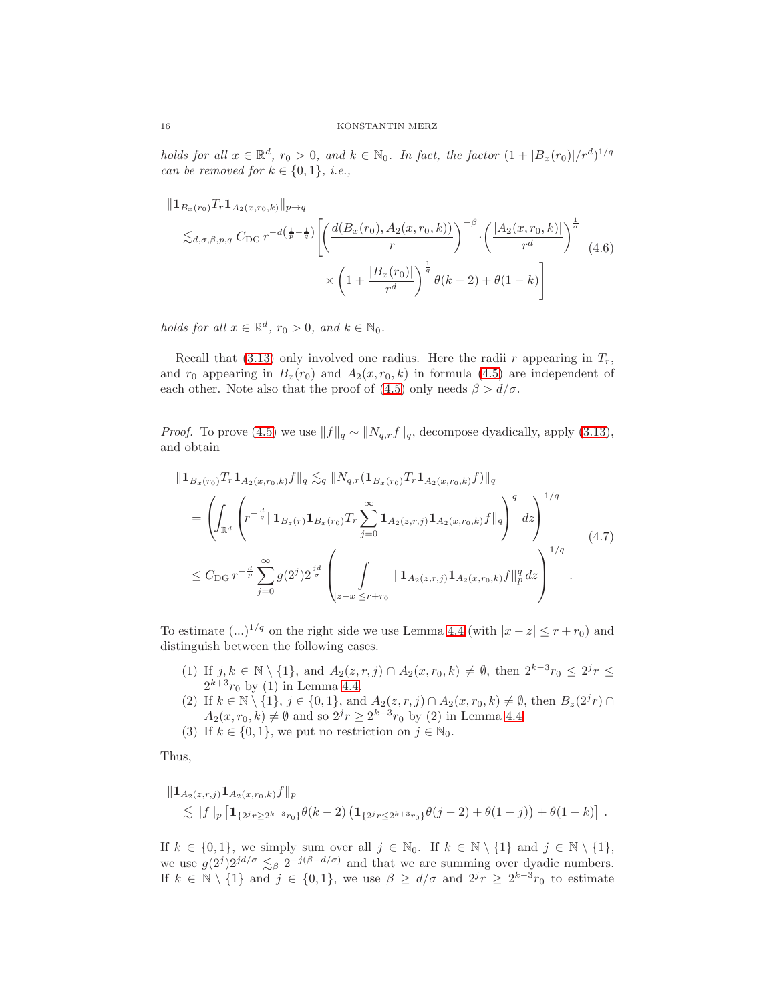holds for all  $x \in \mathbb{R}^d$ ,  $r_0 > 0$ , and  $k \in \mathbb{N}_0$ . In fact, the factor  $(1 + |B_x(r_0)|/r^d)^{1/q}$ can be removed for  $k \in \{0,1\}$ , *i.e.*,

<span id="page-15-1"></span>
$$
\|1_{B_x(r_0)} T_r 1_{A_2(x,r_0,k)}\|_{p\to q} \le \lesssim_{d,\sigma,\beta,p,q} C_{\text{DG}} r^{-d(\frac{1}{p}-\frac{1}{q})} \left[ \left( \frac{d(B_x(r_0), A_2(x,r_0, k))}{r} \right)^{-\beta} \cdot \left( \frac{|A_2(x,r_0, k)|}{r^d} \right)^{\frac{1}{\sigma}} \right] \times \left( 1 + \frac{|B_x(r_0)|}{r^d} \right)^{\frac{1}{q}} \theta(k-2) + \theta(1-k) \right]
$$
\n(4.6)

holds for all  $x \in \mathbb{R}^d$ ,  $r_0 > 0$ , and  $k \in \mathbb{N}_0$ .

Recall that [\(3.13\)](#page-6-1) only involved one radius. Here the radii r appearing in  $T_r$ , and  $r_0$  appearing in  $B_x(r_0)$  and  $A_2(x, r_0, k)$  in formula [\(4.5\)](#page-14-1) are independent of each other. Note also that the proof of [\(4.5\)](#page-14-1) only needs  $\beta > d/\sigma$ .

*Proof.* To prove [\(4.5\)](#page-14-1) we use  $||f||_q \sim ||N_{q,r}f||_q$ , decompose dyadically, apply [\(3.13\)](#page-6-1), and obtain

<span id="page-15-0"></span>
$$
\|1_{B_x(r_0)}Tr1_{A_2(x,r_0,k)}f\|_{q} \lesssim_q \|N_{q,r}(1_{B_x(r_0)}Tr1_{A_2(x,r_0,k)}f)\|_{q}
$$
  
= 
$$
\left(\int_{\mathbb{R}^d} \left(r^{-\frac{d}{q}} \|1_{B_x(r)}1_{B_x(r_0)}Tr\sum_{j=0}^{\infty} 1_{A_2(z,r,j)}1_{A_2(x,r_0,k)}f\|_{q}\right)^{q} dz\right)^{1/q}
$$
  

$$
\leq C_{\text{DG}} r^{-\frac{d}{p}} \sum_{j=0}^{\infty} g(2^j) 2^{\frac{jd}{\sigma}} \left(\int_{|z-x| \leq r+r_0} \|1_{A_2(z,r,j)}1_{A_2(x,r_0,k)}f\|_{p}^{q} dz\right)^{1/q} . \tag{4.7}
$$

To estimate  $(...)^{1/q}$  on the right side we use Lemma [4.4](#page-14-2) (with  $|x-z| \le r+r_0$ ) and distinguish between the following cases.

- (1) If  $j, k \in \mathbb{N} \setminus \{1\}$ , and  $A_2(z, r, j) \cap A_2(x, r_0, k) \neq \emptyset$ , then  $2^{k-3}r_0 \leq 2^j r \leq$  $2^{k+3}r_0$  by (1) in Lemma [4.4.](#page-14-2)
- (2) If  $k \in \mathbb{N} \setminus \{1\}$ ,  $j \in \{0, 1\}$ , and  $A_2(z, r, j) \cap A_2(x, r_0, k) \neq \emptyset$ , then  $B_z(2^j r) \cap$  $A_2(x, r_0, k) \neq \emptyset$  and so  $2^j r \geq 2^{k-3} r_0$  by (2) in Lemma [4.4.](#page-14-2)
- (3) If  $k \in \{0, 1\}$ , we put no restriction on  $j \in \mathbb{N}_0$ .

Thus,

$$
\|1_{A_2(z,r,j)} 1_{A_2(x,r_0,k)}f\|_p
$$
  
\$\lesssim\$ \|f\|\_p [1\_{\{2^j r \ge 2^{k-3} r\_0\}} \theta(k-2) (1\_{\{2^j r \le 2^{k+3} r\_0\}} \theta(j-2) + \theta(1-j)) + \theta(1-k) ]\$ .

If  $k \in \{0, 1\}$ , we simply sum over all  $j \in \mathbb{N}_0$ . If  $k \in \mathbb{N} \setminus \{1\}$  and  $j \in \mathbb{N} \setminus \{1\}$ , we use  $g(2^j)2^{jd/\sigma} \lesssim_\beta 2^{-j(\beta-d/\sigma)}$  and that we are summing over dyadic numbers. If  $k \in \mathbb{N} \setminus \{1\}$  and  $j \in \{0,1\}$ , we use  $\beta \geq d/\sigma$  and  $2^{j}r \geq 2^{k-3}r_0$  to estimate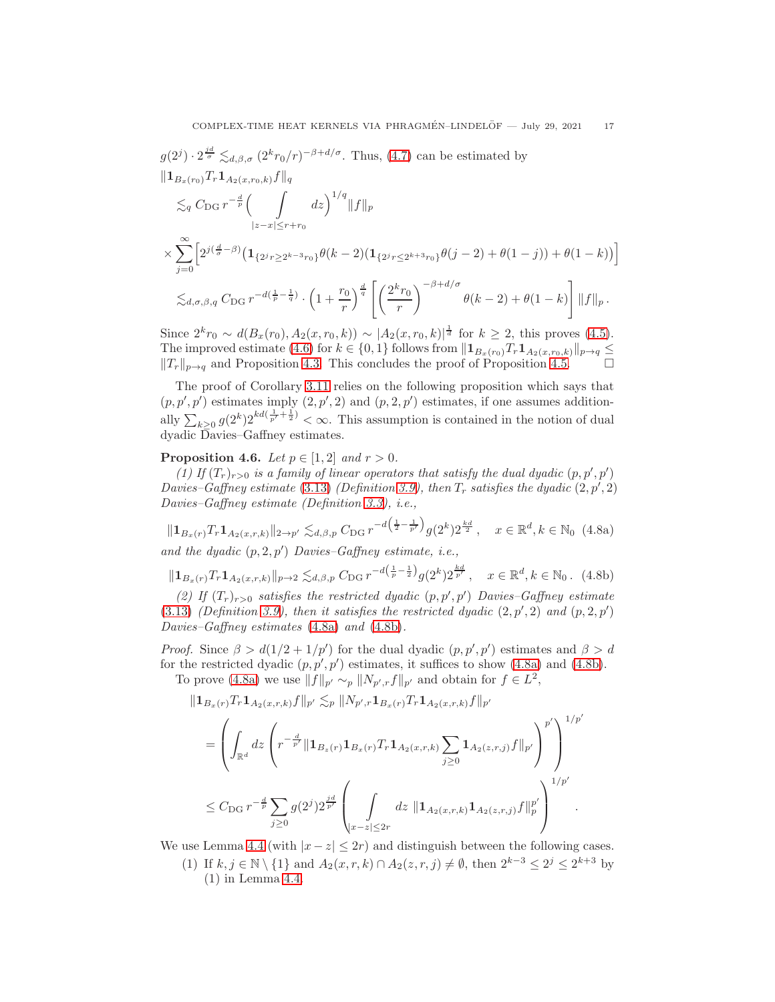$$
g(2^{j}) \cdot 2^{\frac{jd}{\sigma}} \lesssim_{d,\beta,\sigma} (2^{k}r_{0}/r)^{-\beta+d/\sigma}.
$$
 Thus, (4.7) can be estimated by  
\n
$$
\|\mathbf{1}_{B_{x}(r_{0})}T_{r}\mathbf{1}_{A_{2}(x,r_{0},k)}f\|_{q}
$$
\n
$$
\lesssim_{q} C_{\text{DG}} r^{-\frac{d}{p}} \Big(\int_{|z-x| \leq r+r_{0}} dz\Big)^{1/q} \|f\|_{p}
$$
\n
$$
\times \sum_{j=0}^{\infty} \Big[2^{j(\frac{d}{\sigma}-\beta)} \big(\mathbf{1}_{\{2^{j}r \geq 2^{k-3}r_{0}\}}\theta(k-2) \big(\mathbf{1}_{\{2^{j}r \leq 2^{k+3}r_{0}\}}\theta(j-2) + \theta(1-j)\big) + \theta(1-k)\big)\Big]
$$
\n
$$
\lesssim_{d,\sigma,\beta,q} C_{\text{DG}} r^{-d(\frac{1}{p}-\frac{1}{q})} \cdot \Big(1+\frac{r_{0}}{r}\Big)^{\frac{d}{q}} \Bigg[ \Big(\frac{2^{k}r_{0}}{r}\Big)^{-\beta+d/\sigma} \theta(k-2) + \theta(1-k) \Bigg] \|f\|_{p}.
$$

Since  $2^k r_0 \sim d(B_x(r_0), A_2(x, r_0, k)) \sim |A_2(x, r_0, k)|^{\frac{1}{d}}$  for  $k \geq 2$ , this proves [\(4.5\)](#page-14-1). The improved estimate [\(4.6\)](#page-15-1) for  $k \in \{0,1\}$  follows from  $\|\mathbf{1}_{B_x(r_0)}T_r\mathbf{1}_{A_2(x,r_0,k)}\|_{p\to q} \leq$  $||T_r||_{p\to q}$  and Proposition [4.3.](#page-13-1) This concludes the proof of Proposition [4.5.](#page-14-0)

The proof of Corollary [3.11](#page-11-0) relies on the following proposition which says that  $(p, p', p')$  estimates imply  $(2, p', 2)$  and  $(p, 2, p')$  estimates, if one assumes additionally  $\sum_{k\geq 0} g(2^k)2^{kd(\frac{1}{p'}+\frac{1}{2})} < \infty$ . This assumption is contained in the notion of dual dyadic Davies–Gaffney estimates.

## <span id="page-16-0"></span>**Proposition 4.6.** Let  $p \in [1, 2]$  and  $r > 0$ .

(1) If  $(T_r)_{r>0}$  is a family of linear operators that satisfy the dual dyadic  $(p, p', p')$ Davies–Gaffney estimate [\(3.13\)](#page-6-1) (Definition [3.9\)](#page-10-0), then  $T_r$  satisfies the dyadic  $(2, p', 2)$ Davies–Gaffney estimate (Definition [3.3\)](#page-6-0), i.e.,

$$
\|\mathbf{1}_{B_x(r)}T_r\mathbf{1}_{A_2(x,r,k)}\|_{2\to p'} \lesssim_{d,\beta,p} C_{\text{DG}} r^{-d\left(\frac{1}{2}-\frac{1}{p'}\right)} g(2^k) 2^{\frac{kd}{2}}, \quad x \in \mathbb{R}^d, k \in \mathbb{N}_0 \tag{4.8a}
$$

and the dyadic  $(p, 2, p')$  Davies-Gaffney estimate, i.e.,

$$
\|\mathbf{1}_{B_x(r)}T_r\mathbf{1}_{A_2(x,r,k)}\|_{p\to 2} \lesssim_{d,\beta,p} C_{\text{DG}} r^{-d\left(\frac{1}{p}-\frac{1}{2}\right)} g(2^k) 2^{\frac{kd}{p'}}, \quad x \in \mathbb{R}^d, k \in \mathbb{N}_0. \tag{4.8b}
$$

(2) If  $(T_r)_{r>0}$  satisfies the restricted dyadic  $(p, p', p')$  Davies-Gaffney estimate [\(3.13\)](#page-6-1) (Definition [3.9\)](#page-10-0), then it satisfies the restricted dyadic  $(2, p', 2)$  and  $(p, 2, p')$ Davies–Gaffney estimates [\(4.8a\)](#page-16-1) and [\(4.8b\)](#page-16-2).

*Proof.* Since  $\beta > d(1/2 + 1/p')$  for the dual dyadic  $(p, p', p')$  estimates and  $\beta > d$ for the restricted dyadic  $(p, p', p')$  estimates, it suffices to show  $(4.8a)$  and  $(4.8b)$ . To prove [\(4.8a\)](#page-16-1) we use  $||f||_{p'} \sim_p ||N_{p',r}f||_{p'}$  and obtain for  $f \in L^2$ ,

<span id="page-16-2"></span><span id="page-16-1"></span> $1/p'$ 

$$
\begin{aligned} \|1_{B_x(r)}T_r 1_{A_2(x,r,k)}f\|_{p'} &\lesssim_{p} \|N_{p',r} 1_{B_x(r)}T_r 1_{A_2(x,r,k)}f\|_{p'}\\ &= \left(\int_{\mathbb{R}^d} dz \left(r^{-\frac{d}{p'}} \|1_{B_x(r)} 1_{B_x(r)}T_r 1_{A_2(x,r,k)} \sum_{i\geq 0} 1_{A_2(z,r,j)}f\|_{p'}\right)^{p'}\right) \end{aligned}
$$

$$
\left\{\int_{\mathbb{R}^d} \left( \int_{\mathbb{R}^d} \left( \int_{j \geq 0} x^{-\frac{d}{p}} \sum_{j \geq 0} g(2^j) 2^{\frac{jd}{p'}} \left( \int_{|x-z| \leq 2r} dz \, \| \mathbf{1}_{A_2(x,r,k)} \mathbf{1}_{A_2(z,r,j)} f \|_p^{p'} \right) \right)^{1/p'} \right\}^{1/p'}.
$$

We use Lemma [4.4](#page-14-2) (with  $|x-z| \leq 2r$ ) and distinguish between the following cases.

(1) If  $k, j \in \mathbb{N} \setminus \{1\}$  and  $A_2(x, r, k) \cap A_2(z, r, j) \neq \emptyset$ , then  $2^{k-3} \leq 2^j \leq 2^{k+3}$  by (1) in Lemma [4.4.](#page-14-2)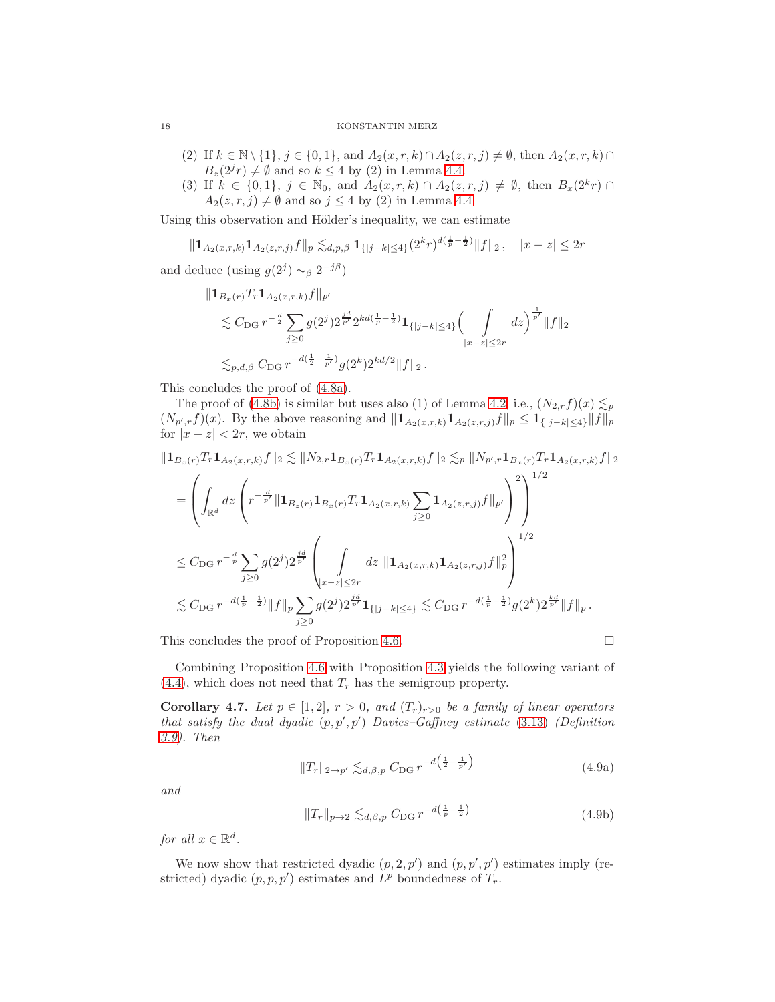- (2) If  $k \in \mathbb{N} \setminus \{1\}, j \in \{0, 1\}, \text{and } A_2(x, r, k) \cap A_2(z, r, j) \neq \emptyset$ , then  $A_2(x, r, k) \cap$  $B_z(2^{j}r) \neq \emptyset$  and so  $k \leq 4$  by (2) in Lemma [4.4.](#page-14-2)
- (3) If  $k \in \{0,1\}$ ,  $j \in \mathbb{N}_0$ , and  $A_2(x,r,k) \cap A_2(z,r,j) \neq \emptyset$ , then  $B_x(2^k r) \cap$  $A_2(z, r, j) \neq \emptyset$  and so  $j \leq 4$  by (2) in Lemma [4.4.](#page-14-2)

Using this observation and Hölder's inequality, we can estimate

$$
||\mathbf{1}_{A_2(x,r,k)}\mathbf{1}_{A_2(z,r,j)}f||_p \lesssim_{d,p,\beta} \mathbf{1}_{\{|j-k|\leq 4\}}(2^k r)^{d(\frac{1}{p}-\frac{1}{2})}||f||_2, \quad |x-z| \leq 2r
$$

and deduce (using  $g(2^j) \sim_\beta 2^{-j\beta}$ )

$$
\| \mathbf{1}_{B_x(r)} T_r \mathbf{1}_{A_2(x,r,k)} f \|_{p'}
$$
  
\$\leq C\_{\text{DG}} r^{-\frac{d}{2}} \sum\_{j\geq 0} g(2^j) 2^{\frac{jd}{p'}} 2^{kd(\frac{1}{p}-\frac{1}{2})} \mathbf{1}\_{\{|j-k|\leq 4\}} \left( \int \limits\_{|x-z|\leq 2r} dz \right)^{\frac{1}{p'}} \|f\|\_2\$  
\$\leq\_{p,d,\beta} C\_{\text{DG}} r^{-d(\frac{1}{2}-\frac{1}{p'})} g(2^k) 2^{kd/2} \|f\|\_2\$.

This concludes the proof of [\(4.8a\)](#page-16-1).

The proof of [\(4.8b\)](#page-16-2) is similar but uses also (1) of Lemma [4.2,](#page-13-5) i.e.,  $(N_{2,r}f)(x) \leq p$  $(N_{p',r}f)(x)$ . By the above reasoning and  $||\mathbf{1}_{A_2(x,r,k)}\mathbf{1}_{A_2(z,r,j)}f||_p \leq \mathbf{1}_{\{|j-k|\leq 4\}}||f||_p$ for  $|x-z| < 2r$ , we obtain

$$
\begin{split}\n\|\mathbf{1}_{B_{x}(r)}T_{r}\mathbf{1}_{A_{2}(x,r,k)}f\|_{2} &\lesssim \|N_{2,r}\mathbf{1}_{B_{x}(r)}T_{r}\mathbf{1}_{A_{2}(x,r,k)}f\|_{2} \lesssim_{p} \|N_{p',r}\mathbf{1}_{B_{x}(r)}T_{r}\mathbf{1}_{A_{2}(x,r,k)}f\|_{2} \\
&= \left(\int_{\mathbb{R}^{d}} dz \left(r^{-\frac{d}{p'}}\|\mathbf{1}_{B_{z}(r)}\mathbf{1}_{B_{x}(r)}T_{r}\mathbf{1}_{A_{2}(x,r,k)}\sum_{j\geq 0}\mathbf{1}_{A_{2}(z,r,j)}f\|_{p'}\right)^{2}\right)^{1/2} \\
&\leq C_{\text{DG}}\ r^{-\frac{d}{p}} \sum_{j\geq 0} g(2^{j})2^{\frac{j d}{p'}} \left(\int_{|x-z|\leq 2r} dz \|\mathbf{1}_{A_{2}(x,r,k)}\mathbf{1}_{A_{2}(z,r,j)}f\|_{p}^{2}\right)^{1/2} \\
&\lesssim C_{\text{DG}}\ r^{-d(\frac{1}{p}-\frac{1}{2})}\|f\|_{p} \sum_{j\geq 0} g(2^{j})2^{\frac{j d}{p'}}\mathbf{1}_{\{|j-k|\leq 4\}} \lesssim C_{\text{DG}}\ r^{-d(\frac{1}{p}-\frac{1}{2})}g(2^{k})2^{\frac{k d}{p'}}\|f\|_{p}.\n\end{split}
$$

This concludes the proof of Proposition [4.6.](#page-16-0)

$$
\Box
$$

Combining Proposition [4.6](#page-16-0) with Proposition [4.3](#page-13-1) yields the following variant of  $(4.4)$ , which does not need that  $T_r$  has the semigroup property.

**Corollary 4.7.** Let  $p \in [1,2], r > 0$ , and  $(T_r)_{r>0}$  be a family of linear operators that satisfy the dual dyadic  $(p, p', p')$  Davies-Gaffney estimate [\(3.13\)](#page-6-1) (Definition [3.9\)](#page-10-0). Then

$$
||T_r||_{2 \to p'} \lesssim_{d,\beta,p} C_{\text{DG}} r^{-d\left(\frac{1}{2} - \frac{1}{p'}\right)}
$$
\n(4.9a)

and

$$
||T_r||_{p\to 2} \lesssim_{d,\beta,p} C_{\text{DG}} r^{-d\left(\frac{1}{p}-\frac{1}{2}\right)} \tag{4.9b}
$$

for all  $x \in \mathbb{R}^d$ .

We now show that restricted dyadic  $(p, 2, p')$  and  $(p, p', p')$  estimates imply (restricted) dyadic  $(p, p, p')$  estimates and  $L^p$  boundedness of  $T_r$ .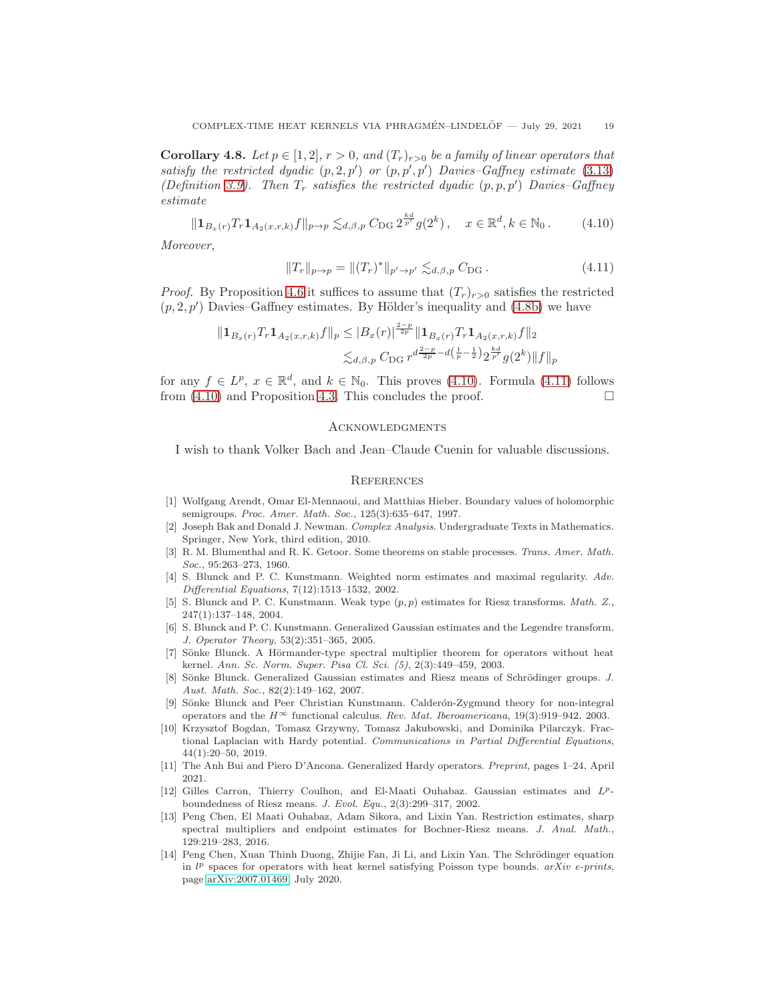<span id="page-18-13"></span>**Corollary 4.8.** Let  $p \in [1,2], r > 0$ , and  $(T_r)_{r>0}$  be a family of linear operators that satisfy the restricted dyadic  $(p, 2, p')$  or  $(p, p', p')$  Davies-Gaffney estimate [\(3.13\)](#page-6-1) (Definition [3.9\)](#page-10-0). Then  $T_r$  satisfies the restricted dyadic  $(p, p, p')$  Davies-Gaffney estimate

$$
\|\mathbf{1}_{B_x(r)}T_r\mathbf{1}_{A_2(x,r,k)}f\|_{p\to p} \lesssim_{d,\beta,p} C_{\text{DG}} 2^{\frac{kd}{p'}}g(2^k), \quad x \in \mathbb{R}^d, k \in \mathbb{N}_0. \tag{4.10}
$$

<span id="page-18-16"></span><span id="page-18-15"></span> $2-p$ 

Moreover,

$$
||T_r||_{p \to p} = ||(T_r)^*||_{p' \to p'} \lesssim_{d, \beta, p} C_{\text{DG}}.
$$
\n(4.11)

*Proof.* By Proposition [4.6](#page-16-0) it suffices to assume that  $(T_r)_{r>0}$  satisfies the restricted  $(p, 2, p')$  Davies–Gaffney estimates. By Hölder's inequality and  $(4.8b)$  we have

$$
||\mathbf{1}_{B_x(r)}T_r\mathbf{1}_{A_2(x,r,k)}f||_p \leq |B_x(r)|^{\frac{2p}{2p}}||\mathbf{1}_{B_x(r)}T_r\mathbf{1}_{A_2(x,r,k)}f||_2
$$
  

$$
\lesssim_{d,\beta,p} C_{\text{DG}} r^{d\frac{2-p}{2p} - d\left(\frac{1}{p} - \frac{1}{2}\right)2^{\frac{kd}{p'}}g(2^k)||f||_p
$$

for any  $f \in L^p$ ,  $x \in \mathbb{R}^d$ , and  $k \in \mathbb{N}_0$ . This proves [\(4.10\)](#page-18-15). Formula [\(4.11\)](#page-18-16) follows from  $(4.10)$  and Proposition [4.3.](#page-13-1) This concludes the proof.

### **ACKNOWLEDGMENTS**

I wish to thank Volker Bach and Jean–Claude Cuenin for valuable discussions.

### **REFERENCES**

- <span id="page-18-14"></span>[1] Wolfgang Arendt, Omar El-Mennaoui, and Matthias Hieber. Boundary values of holomorphic semigroups. Proc. Amer. Math. Soc., 125(3):635-647, 1997.
- <span id="page-18-0"></span>[2] Joseph Bak and Donald J. Newman. Complex Analysis. Undergraduate Texts in Mathematics. Springer, New York, third edition, 2010.
- <span id="page-18-10"></span>[3] R. M. Blumenthal and R. K. Getoor. Some theorems on stable processes. Trans. Amer. Math. Soc., 95:263–273, 1960.
- <span id="page-18-1"></span>[4] S. Blunck and P. C. Kunstmann. Weighted norm estimates and maximal regularity. Adv. Differential Equations, 7(12):1513–1532, 2002.
- <span id="page-18-4"></span>[5] S. Blunck and P. C. Kunstmann. Weak type  $(p, p)$  estimates for Riesz transforms. Math. Z., 247(1):137–148, 2004.
- <span id="page-18-5"></span>[6] S. Blunck and P. C. Kunstmann. Generalized Gaussian estimates and the Legendre transform. J. Operator Theory, 53(2):351–365, 2005.
- <span id="page-18-3"></span>[7] Sönke Blunck. A Hörmander-type spectral multiplier theorem for operators without heat kernel. Ann. Sc. Norm. Super. Pisa Cl. Sci. (5), 2(3):449–459, 2003.
- <span id="page-18-6"></span>[8] Sönke Blunck. Generalized Gaussian estimates and Riesz means of Schrödinger groups. J. Aust. Math. Soc., 82(2):149–162, 2007.
- <span id="page-18-2"></span>[9] Sönke Blunck and Peer Christian Kunstmann. Calderón-Zygmund theory for non-integral operators and the  $H^{\infty}$  functional calculus. Rev. Mat. Iberoamericana, 19(3):919–942, 2003.
- <span id="page-18-12"></span>[10] Krzysztof Bogdan, Tomasz Grzywny, Tomasz Jakubowski, and Dominika Pilarczyk. Fractional Laplacian with Hardy potential. Communications in Partial Differential Equations, 44(1):20–50, 2019.
- <span id="page-18-11"></span>[11] The Anh Bui and Piero D'Ancona. Generalized Hardy operators. Preprint, pages 1–24, April 2021.
- <span id="page-18-7"></span>[12] Gilles Carron, Thierry Coulhon, and El-Maati Ouhabaz. Gaussian estimates and  $L^p$ boundedness of Riesz means. J. Evol. Equ., 2(3):299–317, 2002.
- <span id="page-18-8"></span>[13] Peng Chen, El Maati Ouhabaz, Adam Sikora, and Lixin Yan. Restriction estimates, sharp spectral multipliers and endpoint estimates for Bochner-Riesz means. J. Anal. Math., 129:219–283, 2016.
- <span id="page-18-9"></span>[14] Peng Chen, Xuan Thinh Duong, Zhijie Fan, Ji Li, and Lixin Yan. The Schrödinger equation in  $l^p$  spaces for operators with heat kernel satisfying Poisson type bounds.  $arXiv$  e-prints, page [arXiv:2007.01469,](http://arxiv.org/abs/2007.01469) July 2020.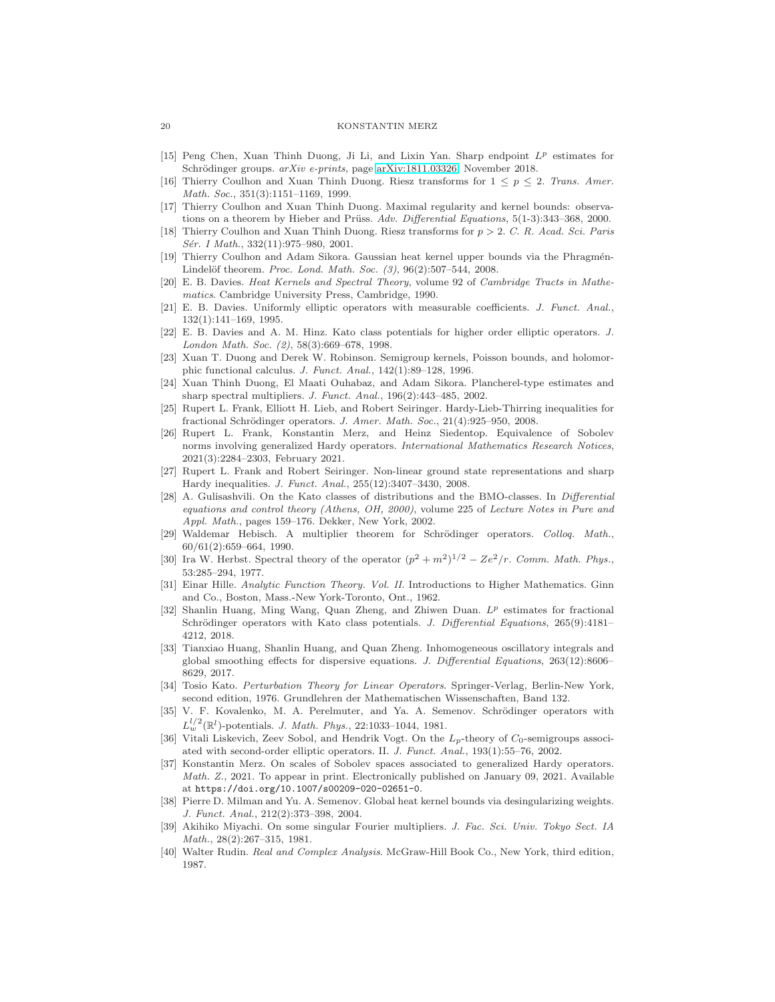- [15] Peng Chen, Xuan Thinh Duong, Ji Li, and Lixin Yan. Sharp endpoint  $L^p$  estimates for Schrödinger groups. arXiv e-prints, page [arXiv:1811.03326,](http://arxiv.org/abs/1811.03326) November 2018.
- <span id="page-19-7"></span>[16] Thierry Coulhon and Xuan Thinh Duong. Riesz transforms for  $1 \leq p \leq 2$ . Trans. Amer. Math. Soc., 351(3):1151–1169, 1999.
- <span id="page-19-8"></span>[17] Thierry Coulhon and Xuan Thinh Duong. Maximal regularity and kernel bounds: observations on a theorem by Hieber and Prüss.  $Adv.$  Differential Equations,  $5(1-3):343-368$ , 2000.
- <span id="page-19-9"></span>[18] Thierry Coulhon and Xuan Thinh Duong. Riesz transforms for  $p > 2$ . C. R. Acad. Sci. Paris Sér. I Math., 332(11):975–980, 2001.
- <span id="page-19-4"></span>[19] Thierry Coulhon and Adam Sikora. Gaussian heat kernel upper bounds via the Phragmén-Lindelöf theorem. Proc. Lond. Math. Soc.  $(3)$ , 96 $(2)$ :507-544, 2008.
- <span id="page-19-2"></span>[20] E. B. Davies. Heat Kernels and Spectral Theory, volume 92 of Cambridge Tracts in Mathematics. Cambridge University Press, Cambridge, 1990.
- <span id="page-19-3"></span>[21] E. B. Davies. Uniformly elliptic operators with measurable coefficients. J. Funct. Anal., 132(1):141–169, 1995.
- <span id="page-19-17"></span>[22] E. B. Davies and A. M. Hinz. Kato class potentials for higher order elliptic operators. J. London Math. Soc. (2), 58(3):669–678, 1998.
- <span id="page-19-10"></span>[23] Xuan T. Duong and Derek W. Robinson. Semigroup kernels, Poisson bounds, and holomorphic functional calculus. J. Funct. Anal., 142(1):89–128, 1996.
- <span id="page-19-11"></span>[24] Xuan Thinh Duong, El Maati Ouhabaz, and Adam Sikora. Plancherel-type estimates and sharp spectral multipliers. J. Funct. Anal., 196(2):443–485, 2002.
- <span id="page-19-22"></span>[25] Rupert L. Frank, Elliott H. Lieb, and Robert Seiringer. Hardy-Lieb-Thirring inequalities for fractional Schrödinger operators. J. Amer. Math. Soc., 21(4):925–950, 2008.
- <span id="page-19-13"></span>[26] Rupert L. Frank, Konstantin Merz, and Heinz Siedentop. Equivalence of Sobolev norms involving generalized Hardy operators. International Mathematics Research Notices, 2021(3):2284–2303, February 2021.
- <span id="page-19-23"></span>[27] Rupert L. Frank and Robert Seiringer. Non-linear ground state representations and sharp Hardy inequalities. J. Funct. Anal., 255(12):3407–3430, 2008.
- <span id="page-19-18"></span>[28] A. Gulisashvili. On the Kato classes of distributions and the BMO-classes. In Differential equations and control theory (Athens, OH, 2000), volume 225 of Lecture Notes in Pure and Appl. Math., pages 159–176. Dekker, New York, 2002.
- <span id="page-19-12"></span>[29] Waldemar Hebisch. A multiplier theorem for Schrödinger operators. Colloq. Math., 60/61(2):659–664, 1990.
- <span id="page-19-21"></span>[30] Ira W. Herbst. Spectral theory of the operator  $(p^2 + m^2)^{1/2} - Ze^2/r$ . Comm. Math. Phys., 53:285–294, 1977.
- <span id="page-19-0"></span>[31] Einar Hille. Analytic Function Theory. Vol. II. Introductions to Higher Mathematics. Ginn and Co., Boston, Mass.-New York-Toronto, Ont., 1962.
- <span id="page-19-25"></span>[32] Shanlin Huang, Ming Wang, Quan Zheng, and Zhiwen Duan. L<sup>p</sup> estimates for fractional Schrödinger operators with Kato class potentials. J. Differential Equations, 265(9):4181-4212, 2018.
- <span id="page-19-16"></span>[33] Tianxiao Huang, Shanlin Huang, and Quan Zheng. Inhomogeneous oscillatory integrals and global smoothing effects for dispersive equations. J. Differential Equations, 263(12):8606– 8629, 2017.
- <span id="page-19-19"></span>[34] Tosio Kato. Perturbation Theory for Linear Operators. Springer-Verlag, Berlin-New York, second edition, 1976. Grundlehren der Mathematischen Wissenschaften, Band 132.
- <span id="page-19-24"></span>[35] V. F. Kovalenko, M. A. Perelmuter, and Ya. A. Semenov. Schrödinger operators with  $L_w^{l/2}(\mathbb{R}^l)$ -potentials. *J. Math. Phys.*, 22:1033-1044, 1981.
- <span id="page-19-20"></span>[36] Vitali Liskevich, Zeev Sobol, and Hendrik Vogt. On the  $L_p$ -theory of  $C_0$ -semigroups associated with second-order elliptic operators. II. J. Funct. Anal., 193(1):55–76, 2002.
- <span id="page-19-14"></span>[37] Konstantin Merz. On scales of Sobolev spaces associated to generalized Hardy operators. Math. Z., 2021. To appear in print. Electronically published on January 09, 2021. Available at https://doi.org/10.1007/s00209-020-02651-0.
- <span id="page-19-5"></span>[38] Pierre D. Milman and Yu. A. Semenov. Global heat kernel bounds via desingularizing weights. J. Funct. Anal., 212(2):373–398, 2004.
- <span id="page-19-15"></span>[39] Akihiko Miyachi. On some singular Fourier multipliers. J. Fac. Sci. Univ. Tokyo Sect. IA Math., 28(2):267–315, 1981.
- <span id="page-19-1"></span>[40] Walter Rudin. Real and Complex Analysis. McGraw-Hill Book Co., New York, third edition, 1987.

<span id="page-19-6"></span>